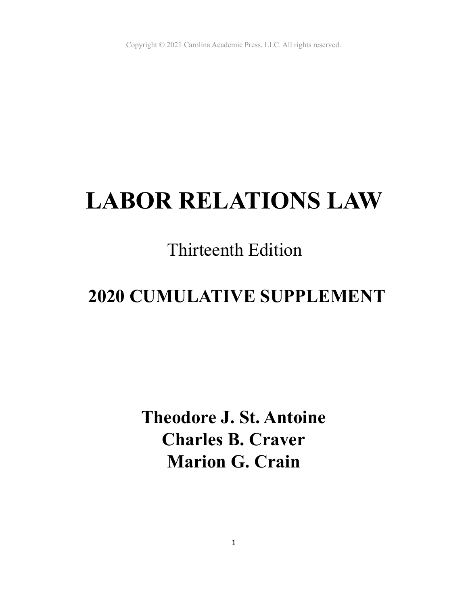# **LABOR RELATIONS LAW**

## Thirteenth Edition

## **2020 CUMULATIVE SUPPLEMENT**

**Theodore J. St. Antoine Charles B. Craver Marion G. Crain**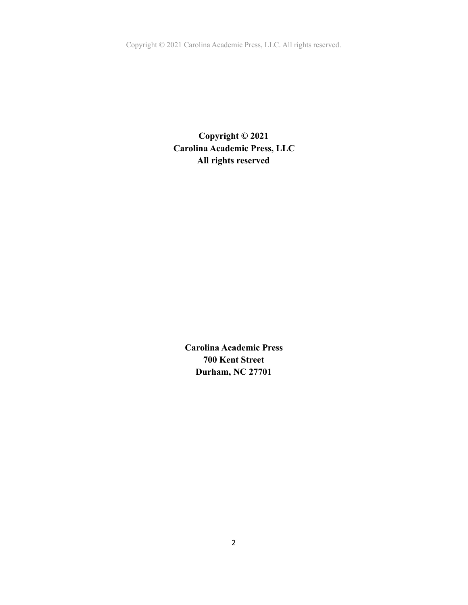Copyright © 2021 Carolina Academic Press, LLC. All rights reserved.

**Copyright © 2021 Carolina Academic Press, LLC All rights reserved** 

**Carolina Academic Press 700 Kent Street Durham, NC 27701**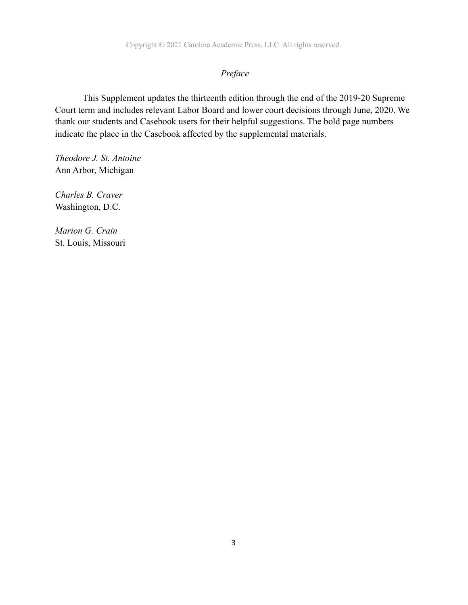## *Preface*

 This Supplement updates the thirteenth edition through the end of the 2019-20 Supreme Court term and includes relevant Labor Board and lower court decisions through June, 2020. We thank our students and Casebook users for their helpful suggestions. The bold page numbers indicate the place in the Casebook affected by the supplemental materials.

*Theodore J. St. Antoine* Ann Arbor, Michigan

*Charles B. Craver* Washington, D.C.

*Marion G. Crain*  St. Louis, Missouri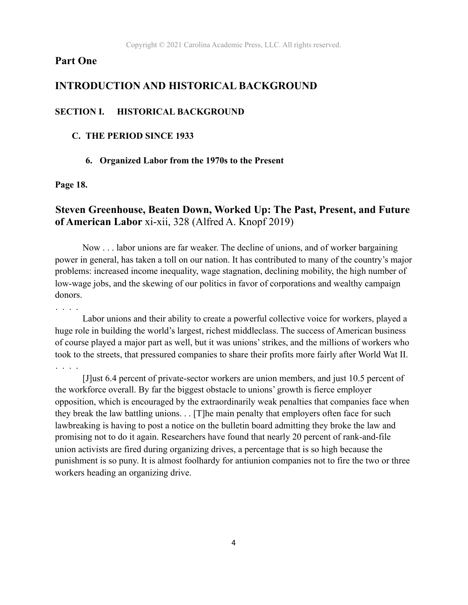## **Part One**

## **INTRODUCTION AND HISTORICAL BACKGROUND**

#### **SECTION I. HISTORICAL BACKGROUND**

#### **C. THE PERIOD SINCE 1933**

#### **6. Organized Labor from the 1970s to the Present**

#### **Page 18.**

## **Steven Greenhouse, Beaten Down, Worked Up: The Past, Present, and Future of American Labor** xi-xii, 328 (Alfred A. Knopf 2019)

 Now . . . labor unions are far weaker. The decline of unions, and of worker bargaining power in general, has taken a toll on our nation. It has contributed to many of the country's major problems: increased income inequality, wage stagnation, declining mobility, the high number of low-wage jobs, and the skewing of our politics in favor of corporations and wealthy campaign donors.

. . . .

 Labor unions and their ability to create a powerful collective voice for workers, played a huge role in building the world's largest, richest middleclass. The success of American business of course played a major part as well, but it was unions' strikes, and the millions of workers who took to the streets, that pressured companies to share their profits more fairly after World Wat II. . . . .

 [J]ust 6.4 percent of private-sector workers are union members, and just 10.5 percent of the workforce overall. By far the biggest obstacle to unions' growth is fierce employer opposition, which is encouraged by the extraordinarily weak penalties that companies face when they break the law battling unions. . . [T]he main penalty that employers often face for such lawbreaking is having to post a notice on the bulletin board admitting they broke the law and promising not to do it again. Researchers have found that nearly 20 percent of rank-and-file union activists are fired during organizing drives, a percentage that is so high because the punishment is so puny. It is almost foolhardy for antiunion companies not to fire the two or three workers heading an organizing drive.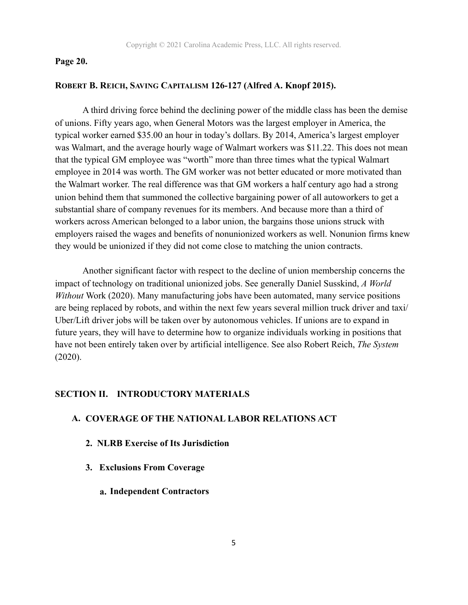#### **Page 20.**

#### **ROBERT B. REICH, SAVING CAPITALISM 126-127 (Alfred A. Knopf 2015).**

 A third driving force behind the declining power of the middle class has been the demise of unions. Fifty years ago, when General Motors was the largest employer in America, the typical worker earned \$35.00 an hour in today's dollars. By 2014, America's largest employer was Walmart, and the average hourly wage of Walmart workers was \$11.22. This does not mean that the typical GM employee was "worth" more than three times what the typical Walmart employee in 2014 was worth. The GM worker was not better educated or more motivated than the Walmart worker. The real difference was that GM workers a half century ago had a strong union behind them that summoned the collective bargaining power of all autoworkers to get a substantial share of company revenues for its members. And because more than a third of workers across American belonged to a labor union, the bargains those unions struck with employers raised the wages and benefits of nonunionized workers as well. Nonunion firms knew they would be unionized if they did not come close to matching the union contracts.

 Another significant factor with respect to the decline of union membership concerns the impact of technology on traditional unionized jobs. See generally Daniel Susskind, *A World Without* Work (2020). Many manufacturing jobs have been automated, many service positions are being replaced by robots, and within the next few years several million truck driver and taxi/ Uber/Lift driver jobs will be taken over by autonomous vehicles. If unions are to expand in future years, they will have to determine how to organize individuals working in positions that have not been entirely taken over by artificial intelligence. See also Robert Reich, *The System* (2020).

#### **SECTION II. INTRODUCTORY MATERIALS**

#### **A. COVERAGE OF THE NATIONAL LABOR RELATIONS ACT**

- **2. NLRB Exercise of Its Jurisdiction**
- **3. Exclusions From Coverage**
	- **a. Independent Contractors**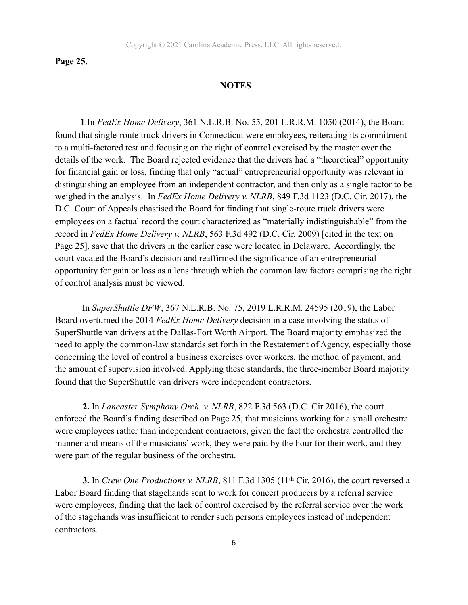**Page 25.** 

#### **NOTES**

 **1**.In *FedEx Home Delivery*, 361 N.L.R.B. No. 55, 201 L.R.R.M. 1050 (2014), the Board found that single-route truck drivers in Connecticut were employees, reiterating its commitment to a multi-factored test and focusing on the right of control exercised by the master over the details of the work. The Board rejected evidence that the drivers had a "theoretical" opportunity for financial gain or loss, finding that only "actual" entrepreneurial opportunity was relevant in distinguishing an employee from an independent contractor, and then only as a single factor to be weighed in the analysis. In *FedEx Home Delivery v. NLRB*, 849 F.3d 1123 (D.C. Cir. 2017), the D.C. Court of Appeals chastised the Board for finding that single-route truck drivers were employees on a factual record the court characterized as "materially indistinguishable" from the record in *FedEx Home Delivery v. NLRB*, 563 F.3d 492 (D.C. Cir. 2009) [cited in the text on Page 25], save that the drivers in the earlier case were located in Delaware. Accordingly, the court vacated the Board's decision and reaffirmed the significance of an entrepreneurial opportunity for gain or loss as a lens through which the common law factors comprising the right of control analysis must be viewed.

 In *SuperShuttle DFW*, 367 N.L.R.B. No. 75, 2019 L.R.R.M. 24595 (2019), the Labor Board overturned the 2014 *FedEx Home Delivery* decision in a case involving the status of SuperShuttle van drivers at the Dallas-Fort Worth Airport. The Board majority emphasized the need to apply the common-law standards set forth in the Restatement of Agency, especially those concerning the level of control a business exercises over workers, the method of payment, and the amount of supervision involved. Applying these standards, the three-member Board majority found that the SuperShuttle van drivers were independent contractors.

**2.** In *Lancaster Symphony Orch. v. NLRB*, 822 F.3d 563 (D.C. Cir 2016), the court enforced the Board's finding described on Page 25, that musicians working for a small orchestra were employees rather than independent contractors, given the fact the orchestra controlled the manner and means of the musicians' work, they were paid by the hour for their work, and they were part of the regular business of the orchestra.

**3.** In *Crew One Productions v. NLRB*, 811 F.3d 1305 (11<sup>th</sup> Cir. 2016), the court reversed a Labor Board finding that stagehands sent to work for concert producers by a referral service were employees, finding that the lack of control exercised by the referral service over the work of the stagehands was insufficient to render such persons employees instead of independent contractors.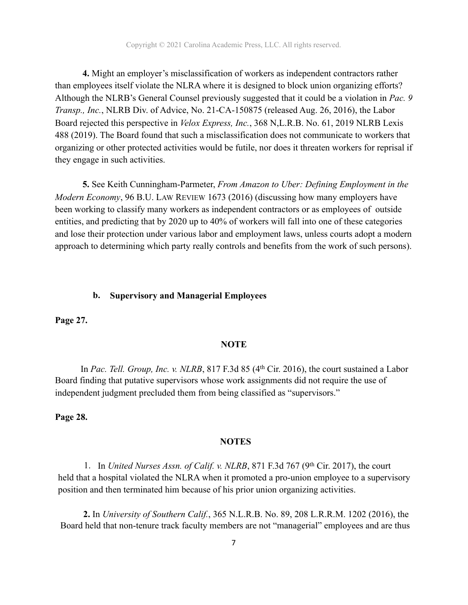**4.** Might an employer's misclassification of workers as independent contractors rather than employees itself violate the NLRA where it is designed to block union organizing efforts? Although the NLRB's General Counsel previously suggested that it could be a violation in *Pac. 9 Transp., Inc.*, NLRB Div. of Advice, No. 21-CA-150875 (released Aug. 26, 2016), the Labor Board rejected this perspective in *Velox Express, Inc.*, 368 N,L.R.B. No. 61, 2019 NLRB Lexis 488 (2019). The Board found that such a misclassification does not communicate to workers that organizing or other protected activities would be futile, nor does it threaten workers for reprisal if they engage in such activities.

**5.** See Keith Cunningham-Parmeter, *From Amazon to Uber: Defining Employment in the Modern Economy*, 96 B.U. LAW REVIEW 1673 (2016) (discussing how many employers have been working to classify many workers as independent contractors or as employees of outside entities, and predicting that by 2020 up to 40% of workers will fall into one of these categories and lose their protection under various labor and employment laws, unless courts adopt a modern approach to determining which party really controls and benefits from the work of such persons).

#### **b. Supervisory and Managerial Employees**

**Page 27.** 

#### **NOTE**

In *Pac. Tell. Group, Inc. v. NLRB*, 817 F.3d 85 (4<sup>th</sup> Cir. 2016), the court sustained a Labor Board finding that putative supervisors whose work assignments did not require the use of independent judgment precluded them from being classified as "supervisors."

#### **Page 28.**

#### **NOTES**

1. In *United Nurses Assn. of Calif. v. NLRB*, 871 F.3d 767 (9th Cir. 2017), the court held that a hospital violated the NLRA when it promoted a pro-union employee to a supervisory position and then terminated him because of his prior union organizing activities.

 **2.** In *University of Southern Calif.*, 365 N.L.R.B. No. 89, 208 L.R.R.M. 1202 (2016), the Board held that non-tenure track faculty members are not "managerial" employees and are thus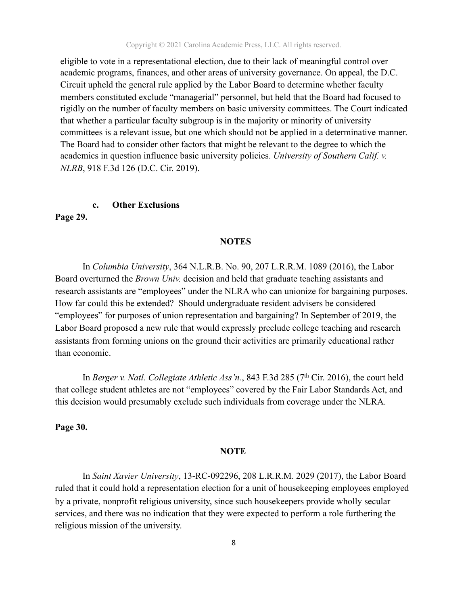Copyright © 2021 Carolina Academic Press, LLC. All rights reserved.

eligible to vote in a representational election, due to their lack of meaningful control over academic programs, finances, and other areas of university governance. On appeal, the D.C. Circuit upheld the general rule applied by the Labor Board to determine whether faculty members constituted exclude "managerial" personnel, but held that the Board had focused to rigidly on the number of faculty members on basic university committees. The Court indicated that whether a particular faculty subgroup is in the majority or minority of university committees is a relevant issue, but one which should not be applied in a determinative manner. The Board had to consider other factors that might be relevant to the degree to which the academics in question influence basic university policies. *University of Southern Calif. v. NLRB*, 918 F.3d 126 (D.C. Cir. 2019).

#### **c. Other Exclusions**

**Page 29.** 

#### **NOTES**

In *Columbia University*, 364 N.L.R.B. No. 90, 207 L.R.R.M. 1089 (2016), the Labor Board overturned the *Brown Univ.* decision and held that graduate teaching assistants and research assistants are "employees" under the NLRA who can unionize for bargaining purposes. How far could this be extended? Should undergraduate resident advisers be considered "employees" for purposes of union representation and bargaining? In September of 2019, the Labor Board proposed a new rule that would expressly preclude college teaching and research assistants from forming unions on the ground their activities are primarily educational rather than economic.

In *Berger v. Natl. Collegiate Athletic Ass'n.*, 843 F.3d 285 (7<sup>th</sup> Cir. 2016), the court held that college student athletes are not "employees" covered by the Fair Labor Standards Act, and this decision would presumably exclude such individuals from coverage under the NLRA.

**Page 30.** 

#### **NOTE**

 In *Saint Xavier University*, 13-RC-092296, 208 L.R.R.M. 2029 (2017), the Labor Board ruled that it could hold a representation election for a unit of housekeeping employees employed by a private, nonprofit religious university, since such housekeepers provide wholly secular services, and there was no indication that they were expected to perform a role furthering the religious mission of the university.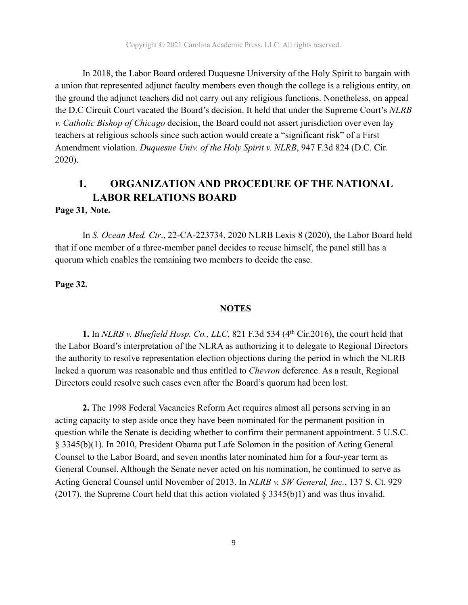In 2018, the Labor Board ordered Duquesne University of the Holy Spirit to bargain with a union that represented adjunct faculty members even though the college is a religious entity, on the ground the adjunct teachers did not carry out any religious functions. Nonetheless, on appeal the D.C Circuit Court vacated the Board's decision. It held that under the Supreme Court's *NLRB v. Catholic Bishop of Chicago* decision, the Board could not assert jurisdiction over even lay teachers at religious schools since such action would create a "significant risk" of a First Amendment violation. *Duquesne Univ. of the Holy Spirit v. NLRB*, 947 F.3d 824 (D.C. Cir. 2020).

## **1. ORGANIZATION AND PROCEDURE OF THE NATIONAL LABOR RELATIONS BOARD**

#### **Page 31, Note.**

 In *S. Ocean Med. Ctr*., 22-CA-223734, 2020 NLRB Lexis 8 (2020), the Labor Board held that if one member of a three-member panel decides to recuse himself, the panel still has a quorum which enables the remaining two members to decide the case.

#### **Page 32.**

#### **NOTES**

 **1.** In *NLRB v. Bluefield Hosp. Co., LLC*, 821 F.3d 534 (4th Cir.2016), the court held that the Labor Board's interpretation of the NLRA as authorizing it to delegate to Regional Directors the authority to resolve representation election objections during the period in which the NLRB lacked a quorum was reasonable and thus entitled to *Chevron* deference. As a result, Regional Directors could resolve such cases even after the Board's quorum had been lost.

 **2.** The 1998 Federal Vacancies Reform Act requires almost all persons serving in an acting capacity to step aside once they have been nominated for the permanent position in question while the Senate is deciding whether to confirm their permanent appointment. 5 U.S.C. § 3345(b)(1). In 2010, President Obama put Lafe Solomon in the position of Acting General Counsel to the Labor Board, and seven months later nominated him for a four-year term as General Counsel. Although the Senate never acted on his nomination, he continued to serve as Acting General Counsel until November of 2013. In *NLRB v. SW General, Inc.*, 137 S. Ct. 929 (2017), the Supreme Court held that this action violated § 3345(b)1) and was thus invalid.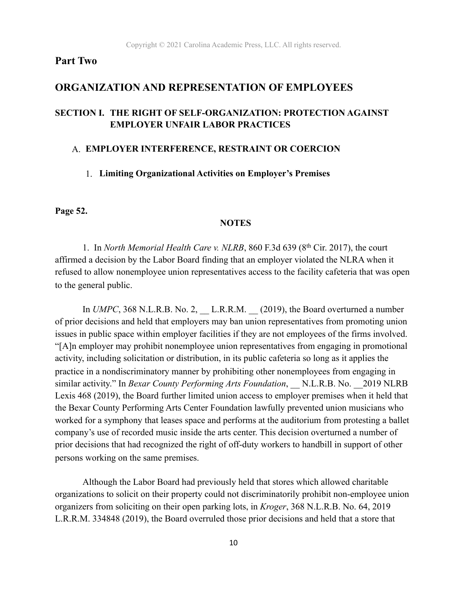## **Part Two**

#### **ORGANIZATION AND REPRESENTATION OF EMPLOYEES**

#### **SECTION I. THE RIGHT OF SELF-ORGANIZATION: PROTECTION AGAINST EMPLOYER UNFAIR LABOR PRACTICES**

#### A. **EMPLOYER INTERFERENCE, RESTRAINT OR COERCION**

#### 1. **Limiting Organizational Activities on Employer's Premises**

**Page 52.** 

#### **NOTES**

1.In *North Memorial Health Care v. NLRB*, 860 F.3d 639 (8th Cir. 2017), the court affirmed a decision by the Labor Board finding that an employer violated the NLRA when it refused to allow nonemployee union representatives access to the facility cafeteria that was open to the general public.

In *UMPC*, 368 N.L.R.B. No. 2, L.R.R.M.  $(2019)$ , the Board overturned a number of prior decisions and held that employers may ban union representatives from promoting union issues in public space within employer facilities if they are not employees of the firms involved. "[A]n employer may prohibit nonemployee union representatives from engaging in promotional activity, including solicitation or distribution, in its public cafeteria so long as it applies the practice in a nondiscriminatory manner by prohibiting other nonemployees from engaging in similar activity." In *Bexar County Performing Arts Foundation*, N.L.R.B. No. 2019 NLRB Lexis 468 (2019), the Board further limited union access to employer premises when it held that the Bexar County Performing Arts Center Foundation lawfully prevented union musicians who worked for a symphony that leases space and performs at the auditorium from protesting a ballet company's use of recorded music inside the arts center. This decision overturned a number of prior decisions that had recognized the right of off-duty workers to handbill in support of other persons working on the same premises.

 Although the Labor Board had previously held that stores which allowed charitable organizations to solicit on their property could not discriminatorily prohibit non-employee union organizers from soliciting on their open parking lots, in *Kroger*, 368 N.L.R.B. No. 64, 2019 L.R.R.M. 334848 (2019), the Board overruled those prior decisions and held that a store that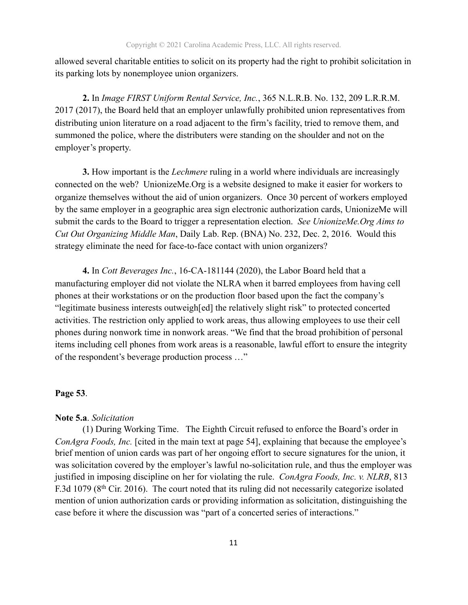allowed several charitable entities to solicit on its property had the right to prohibit solicitation in its parking lots by nonemployee union organizers.

**2.** In *Image FIRST Uniform Rental Service, Inc.*, 365 N.L.R.B. No. 132, 209 L.R.R.M. 2017 (2017), the Board held that an employer unlawfully prohibited union representatives from distributing union literature on a road adjacent to the firm's facility, tried to remove them, and summoned the police, where the distributers were standing on the shoulder and not on the employer's property.

**3.** How important is the *Lechmere* ruling in a world where individuals are increasingly connected on the web? UnionizeMe.Org is a website designed to make it easier for workers to organize themselves without the aid of union organizers. Once 30 percent of workers employed by the same employer in a geographic area sign electronic authorization cards, UnionizeMe will submit the cards to the Board to trigger a representation election. *See UnionizeMe.Org Aims to Cut Out Organizing Middle Man*, Daily Lab. Rep. (BNA) No. 232, Dec. 2, 2016. Would this strategy eliminate the need for face-to-face contact with union organizers?

**4.** In *Cott Beverages Inc.*, 16-CA-181144 (2020), the Labor Board held that a manufacturing employer did not violate the NLRA when it barred employees from having cell phones at their workstations or on the production floor based upon the fact the company's "legitimate business interests outweigh[ed] the relatively slight risk" to protected concerted activities. The restriction only applied to work areas, thus allowing employees to use their cell phones during nonwork time in nonwork areas. "We find that the broad prohibition of personal items including cell phones from work areas is a reasonable, lawful effort to ensure the integrity of the respondent's beverage production process …"

#### **Page 53**.

#### **Note 5.a**. *Solicitation*

(1) During Working Time. The Eighth Circuit refused to enforce the Board's order in *ConAgra Foods, Inc.* [cited in the main text at page 54], explaining that because the employee's brief mention of union cards was part of her ongoing effort to secure signatures for the union, it was solicitation covered by the employer's lawful no-solicitation rule, and thus the employer was justified in imposing discipline on her for violating the rule. *ConAgra Foods, Inc. v. NLRB*, 813 F.3d 1079 (8<sup>th</sup> Cir. 2016). The court noted that its ruling did not necessarily categorize isolated mention of union authorization cards or providing information as solicitation, distinguishing the case before it where the discussion was "part of a concerted series of interactions."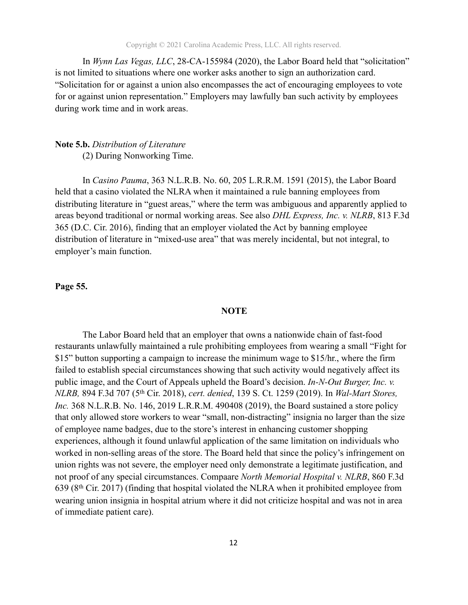In *Wynn Las Vegas, LLC*, 28-CA-155984 (2020), the Labor Board held that "solicitation" is not limited to situations where one worker asks another to sign an authorization card. "Solicitation for or against a union also encompasses the act of encouraging employees to vote for or against union representation." Employers may lawfully ban such activity by employees during work time and in work areas.

#### **Note 5.b.** *Distribution of Literature*  (2) During Nonworking Time.

In *Casino Pauma*, 363 N.L.R.B. No. 60, 205 L.R.R.M. 1591 (2015), the Labor Board held that a casino violated the NLRA when it maintained a rule banning employees from distributing literature in "guest areas," where the term was ambiguous and apparently applied to areas beyond traditional or normal working areas. See also *DHL Express, Inc. v. NLRB*, 813 F.3d 365 (D.C. Cir. 2016), finding that an employer violated the Act by banning employee distribution of literature in "mixed-use area" that was merely incidental, but not integral, to employer's main function.

**Page 55.** 

#### **NOTE**

 The Labor Board held that an employer that owns a nationwide chain of fast-food restaurants unlawfully maintained a rule prohibiting employees from wearing a small "Fight for \$15" button supporting a campaign to increase the minimum wage to \$15/hr., where the firm failed to establish special circumstances showing that such activity would negatively affect its public image, and the Court of Appeals upheld the Board's decision. *In-N-Out Burger, Inc. v. NLRB,* 894 F.3d 707 (5th Cir. 2018), *cert. denied*, 139 S. Ct. 1259 (2019). In *Wal-Mart Stores, Inc.* 368 N.L.R.B. No. 146, 2019 L.R.R.M. 490408 (2019), the Board sustained a store policy that only allowed store workers to wear "small, non-distracting" insignia no larger than the size of employee name badges, due to the store's interest in enhancing customer shopping experiences, although it found unlawful application of the same limitation on individuals who worked in non-selling areas of the store. The Board held that since the policy's infringement on union rights was not severe, the employer need only demonstrate a legitimate justification, and not proof of any special circumstances. Compaare *North Memorial Hospital v. NLRB*, 860 F.3d 639 (8th Cir. 2017) (finding that hospital violated the NLRA when it prohibited employee from wearing union insignia in hospital atrium where it did not criticize hospital and was not in area of immediate patient care).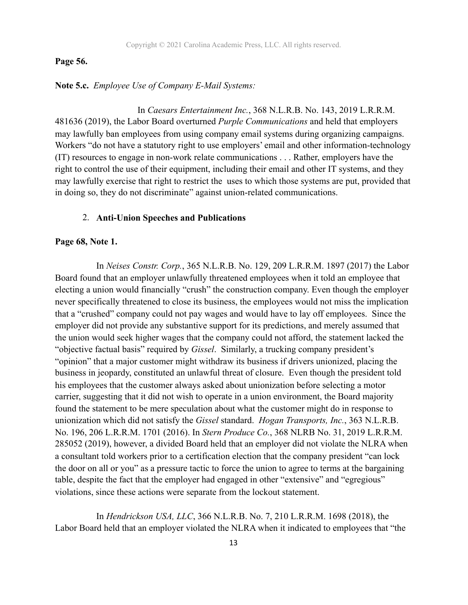#### **Page 56.**

**Note 5.c.** *Employee Use of Company E-Mail Systems:* 

In *Caesars Entertainment Inc.*, 368 N.L.R.B. No. 143, 2019 L.R.R.M. 481636 (2019), the Labor Board overturned *Purple Communications* and held that employers may lawfully ban employees from using company email systems during organizing campaigns. Workers "do not have a statutory right to use employers' email and other information-technology (IT) resources to engage in non-work relate communications . . . Rather, employers have the right to control the use of their equipment, including their email and other IT systems, and they may lawfully exercise that right to restrict the uses to which those systems are put, provided that in doing so, they do not discriminate" against union-related communications.

#### 2. **Anti-Union Speeches and Publications**

#### **Page 68, Note 1.**

In *Neises Constr. Corp.*, 365 N.L.R.B. No. 129, 209 L.R.R.M. 1897 (2017) the Labor Board found that an employer unlawfully threatened employees when it told an employee that electing a union would financially "crush" the construction company. Even though the employer never specifically threatened to close its business, the employees would not miss the implication that a "crushed" company could not pay wages and would have to lay off employees. Since the employer did not provide any substantive support for its predictions, and merely assumed that the union would seek higher wages that the company could not afford, the statement lacked the "objective factual basis" required by *Gissel*. Similarly, a trucking company president's "opinion" that a major customer might withdraw its business if drivers unionized, placing the business in jeopardy, constituted an unlawful threat of closure. Even though the president told his employees that the customer always asked about unionization before selecting a motor carrier, suggesting that it did not wish to operate in a union environment, the Board majority found the statement to be mere speculation about what the customer might do in response to unionization which did not satisfy the *Gissel* standard. *Hogan Transports, Inc.*, 363 N.L.R.B. No. 196, 206 L.R.R.M. 1701 (2016). In *Stern Produce Co.*, 368 NLRB No. 31, 2019 L.R.R.M. 285052 (2019), however, a divided Board held that an employer did not violate the NLRA when a consultant told workers prior to a certification election that the company president "can lock the door on all or you" as a pressure tactic to force the union to agree to terms at the bargaining table, despite the fact that the employer had engaged in other "extensive" and "egregious" violations, since these actions were separate from the lockout statement.

 In *Hendrickson USA, LLC*, 366 N.L.R.B. No. 7, 210 L.R.R.M. 1698 (2018), the Labor Board held that an employer violated the NLRA when it indicated to employees that "the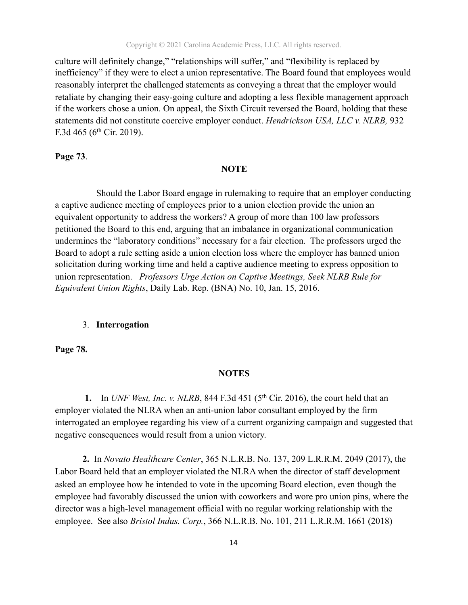culture will definitely change," "relationships will suffer," and "flexibility is replaced by inefficiency" if they were to elect a union representative. The Board found that employees would reasonably interpret the challenged statements as conveying a threat that the employer would retaliate by changing their easy-going culture and adopting a less flexible management approach if the workers chose a union. On appeal, the Sixth Circuit reversed the Board, holding that these statements did not constitute coercive employer conduct. *Hendrickson USA, LLC v. NLRB,* 932 F.3d 465 (6<sup>th</sup> Cir. 2019).

#### **Page 73**.

#### **NOTE**

Should the Labor Board engage in rulemaking to require that an employer conducting a captive audience meeting of employees prior to a union election provide the union an equivalent opportunity to address the workers? A group of more than 100 law professors petitioned the Board to this end, arguing that an imbalance in organizational communication undermines the "laboratory conditions" necessary for a fair election. The professors urged the Board to adopt a rule setting aside a union election loss where the employer has banned union solicitation during working time and held a captive audience meeting to express opposition to union representation. *Professors Urge Action on Captive Meetings, Seek NLRB Rule for Equivalent Union Rights*, Daily Lab. Rep. (BNA) No. 10, Jan. 15, 2016.

#### 3. **Interrogation**

**Page 78.**

#### **NOTES**

**1.** In *UNF West, Inc. v. NLRB*, 844 F.3d 451 (5<sup>th</sup> Cir. 2016), the court held that an employer violated the NLRA when an anti-union labor consultant employed by the firm interrogated an employee regarding his view of a current organizing campaign and suggested that negative consequences would result from a union victory.

 **2.** In *Novato Healthcare Center*, 365 N.L.R.B. No. 137, 209 L.R.R.M. 2049 (2017), the Labor Board held that an employer violated the NLRA when the director of staff development asked an employee how he intended to vote in the upcoming Board election, even though the employee had favorably discussed the union with coworkers and wore pro union pins, where the director was a high-level management official with no regular working relationship with the employee. See also *Bristol Indus. Corp.*, 366 N.L.R.B. No. 101, 211 L.R.R.M. 1661 (2018)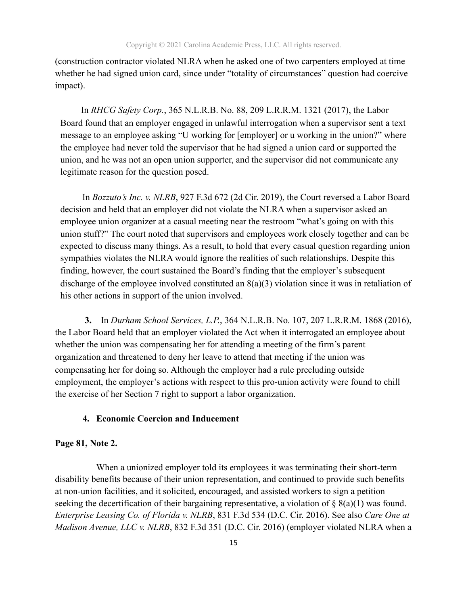(construction contractor violated NLRA when he asked one of two carpenters employed at time whether he had signed union card, since under "totality of circumstances" question had coercive impact).

 In *RHCG Safety Corp.*, 365 N.L.R.B. No. 88, 209 L.R.R.M. 1321 (2017), the Labor Board found that an employer engaged in unlawful interrogation when a supervisor sent a text message to an employee asking "U working for [employer] or u working in the union?" where the employee had never told the supervisor that he had signed a union card or supported the union, and he was not an open union supporter, and the supervisor did not communicate any legitimate reason for the question posed.

 In *Bozzuto's Inc. v. NLRB*, 927 F.3d 672 (2d Cir. 2019), the Court reversed a Labor Board decision and held that an employer did not violate the NLRA when a supervisor asked an employee union organizer at a casual meeting near the restroom "what's going on with this union stuff?" The court noted that supervisors and employees work closely together and can be expected to discuss many things. As a result, to hold that every casual question regarding union sympathies violates the NLRA would ignore the realities of such relationships. Despite this finding, however, the court sustained the Board's finding that the employer's subsequent discharge of the employee involved constituted an  $8(a)(3)$  violation since it was in retaliation of his other actions in support of the union involved.

 **3.** In *Durham School Services, L.P.*, 364 N.L.R.B. No. 107, 207 L.R.R.M. 1868 (2016), the Labor Board held that an employer violated the Act when it interrogated an employee about whether the union was compensating her for attending a meeting of the firm's parent organization and threatened to deny her leave to attend that meeting if the union was compensating her for doing so. Although the employer had a rule precluding outside employment, the employer's actions with respect to this pro-union activity were found to chill the exercise of her Section 7 right to support a labor organization.

#### **4. Economic Coercion and Inducement**

#### **Page 81, Note 2.**

 When a unionized employer told its employees it was terminating their short-term disability benefits because of their union representation, and continued to provide such benefits at non-union facilities, and it solicited, encouraged, and assisted workers to sign a petition seeking the decertification of their bargaining representative, a violation of  $\S$  8(a)(1) was found. *Enterprise Leasing Co. of Florida v. NLRB*, 831 F.3d 534 (D.C. Cir. 2016). See also *Care One at Madison Avenue, LLC v. NLRB*, 832 F.3d 351 (D.C. Cir. 2016) (employer violated NLRA when a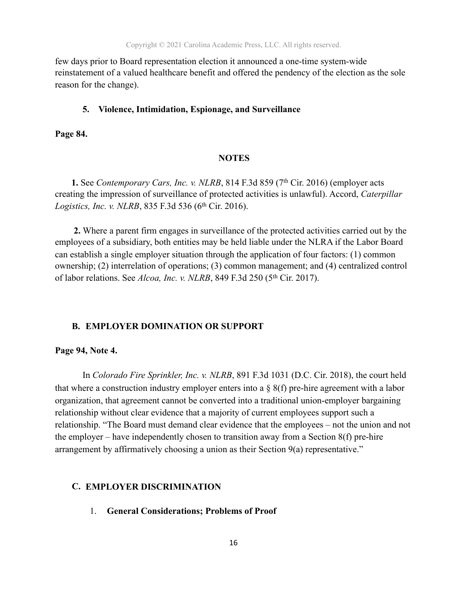few days prior to Board representation election it announced a one-time system-wide reinstatement of a valued healthcare benefit and offered the pendency of the election as the sole reason for the change).

#### **5. Violence, Intimidation, Espionage, and Surveillance**

**Page 84.** 

#### **NOTES**

**1.** See *Contemporary Cars, Inc. v. NLRB*, 814 F.3d 859 (7<sup>th</sup> Cir. 2016) (employer acts creating the impression of surveillance of protected activities is unlawful). Accord, *Caterpillar Logistics, Inc. v. NLRB, 835 F.3d 536 (6<sup>th</sup> Cir. 2016).* 

 **2.** Where a parent firm engages in surveillance of the protected activities carried out by the employees of a subsidiary, both entities may be held liable under the NLRA if the Labor Board can establish a single employer situation through the application of four factors: (1) common ownership; (2) interrelation of operations; (3) common management; and (4) centralized control of labor relations. See *Alcoa, Inc. v. NLRB*, 849 F.3d 250 (5<sup>th</sup> Cir. 2017).

#### **B. EMPLOYER DOMINATION OR SUPPORT**

#### **Page 94, Note 4.**

 In *Colorado Fire Sprinkler, Inc. v. NLRB*, 891 F.3d 1031 (D.C. Cir. 2018), the court held that where a construction industry employer enters into a  $\S$  8(f) pre-hire agreement with a labor organization, that agreement cannot be converted into a traditional union-employer bargaining relationship without clear evidence that a majority of current employees support such a relationship. "The Board must demand clear evidence that the employees – not the union and not the employer – have independently chosen to transition away from a Section  $8(f)$  pre-hire arrangement by affirmatively choosing a union as their Section 9(a) representative."

#### **C. EMPLOYER DISCRIMINATION**

1. **General Considerations; Problems of Proof**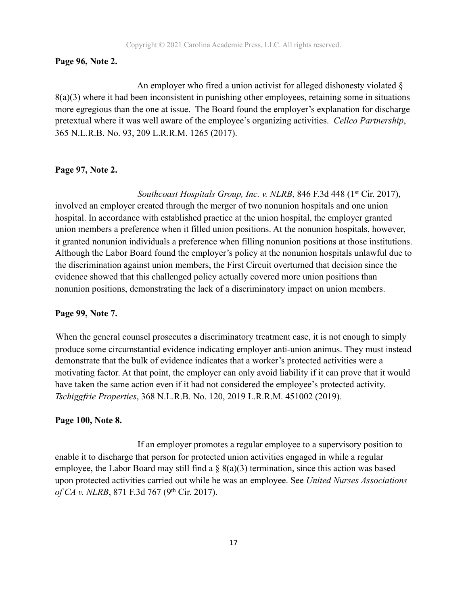#### **Page 96, Note 2.**

 An employer who fired a union activist for alleged dishonesty violated § 8(a)(3) where it had been inconsistent in punishing other employees, retaining some in situations more egregious than the one at issue. The Board found the employer's explanation for discharge pretextual where it was well aware of the employee's organizing activities. *Cellco Partnership*, 365 N.L.R.B. No. 93, 209 L.R.R.M. 1265 (2017).

#### **Page 97, Note 2.**

Southcoast Hospitals Group, Inc. v. NLRB, 846 F.3d 448 (1<sup>st</sup> Cir. 2017), involved an employer created through the merger of two nonunion hospitals and one union hospital. In accordance with established practice at the union hospital, the employer granted union members a preference when it filled union positions. At the nonunion hospitals, however, it granted nonunion individuals a preference when filling nonunion positions at those institutions. Although the Labor Board found the employer's policy at the nonunion hospitals unlawful due to the discrimination against union members, the First Circuit overturned that decision since the evidence showed that this challenged policy actually covered more union positions than nonunion positions, demonstrating the lack of a discriminatory impact on union members.

#### **Page 99, Note 7.**

 When the general counsel prosecutes a discriminatory treatment case, it is not enough to simply produce some circumstantial evidence indicating employer anti-union animus. They must instead demonstrate that the bulk of evidence indicates that a worker's protected activities were a motivating factor. At that point, the employer can only avoid liability if it can prove that it would have taken the same action even if it had not considered the employee's protected activity. *Tschiggfrie Properties*, 368 N.L.R.B. No. 120, 2019 L.R.R.M. 451002 (2019).

#### **Page 100, Note 8.**

If an employer promotes a regular employee to a supervisory position to enable it to discharge that person for protected union activities engaged in while a regular employee, the Labor Board may still find a  $\S$  8(a)(3) termination, since this action was based upon protected activities carried out while he was an employee. See *United Nurses Associations of CA v. NLRB*, 871 F.3d 767 (9th Cir. 2017).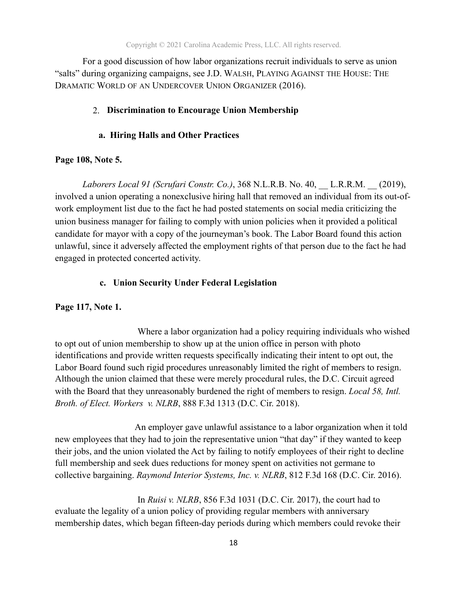For a good discussion of how labor organizations recruit individuals to serve as union "salts" during organizing campaigns, see J.D. WALSH, PLAYING AGAINST THE HOUSE: THE DRAMATIC WORLD OF AN UNDERCOVER UNION ORGANIZER (2016).

#### 2. **Discrimination to Encourage Union Membership**

#### **a. Hiring Halls and Other Practices**

#### **Page 108, Note 5.**

*Laborers Local 91 (Scrufari Constr. Co.)*, 368 N.L.R.B. No. 40, \_\_ L.R.R.M. \_\_ (2019), involved a union operating a nonexclusive hiring hall that removed an individual from its out-ofwork employment list due to the fact he had posted statements on social media criticizing the union business manager for failing to comply with union policies when it provided a political candidate for mayor with a copy of the journeyman's book. The Labor Board found this action unlawful, since it adversely affected the employment rights of that person due to the fact he had engaged in protected concerted activity.

#### **c. Union Security Under Federal Legislation**

#### **Page 117, Note 1.**

Where a labor organization had a policy requiring individuals who wished to opt out of union membership to show up at the union office in person with photo identifications and provide written requests specifically indicating their intent to opt out, the Labor Board found such rigid procedures unreasonably limited the right of members to resign. Although the union claimed that these were merely procedural rules, the D.C. Circuit agreed with the Board that they unreasonably burdened the right of members to resign. *Local 58, Intl. Broth. of Elect. Workers v. NLRB*, 888 F.3d 1313 (D.C. Cir. 2018).

 An employer gave unlawful assistance to a labor organization when it told new employees that they had to join the representative union "that day" if they wanted to keep their jobs, and the union violated the Act by failing to notify employees of their right to decline full membership and seek dues reductions for money spent on activities not germane to collective bargaining. *Raymond Interior Systems, Inc. v. NLRB*, 812 F.3d 168 (D.C. Cir. 2016).

 In *Ruisi v. NLRB*, 856 F.3d 1031 (D.C. Cir. 2017), the court had to evaluate the legality of a union policy of providing regular members with anniversary membership dates, which began fifteen-day periods during which members could revoke their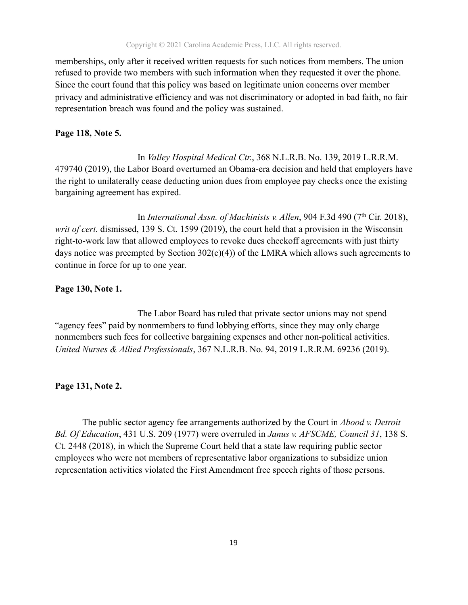memberships, only after it received written requests for such notices from members. The union refused to provide two members with such information when they requested it over the phone. Since the court found that this policy was based on legitimate union concerns over member privacy and administrative efficiency and was not discriminatory or adopted in bad faith, no fair representation breach was found and the policy was sustained.

#### **Page 118, Note 5.**

 In *Valley Hospital Medical Ctr.*, 368 N.L.R.B. No. 139, 2019 L.R.R.M. 479740 (2019), the Labor Board overturned an Obama-era decision and held that employers have the right to unilaterally cease deducting union dues from employee pay checks once the existing bargaining agreement has expired.

In *International Assn. of Machinists v. Allen*, 904 F.3d 490 (7<sup>th</sup> Cir. 2018), *writ of cert.* dismissed, 139 S. Ct. 1599 (2019), the court held that a provision in the Wisconsin right-to-work law that allowed employees to revoke dues checkoff agreements with just thirty days notice was preempted by Section  $302(c)(4)$  of the LMRA which allows such agreements to continue in force for up to one year.

#### **Page 130, Note 1.**

 The Labor Board has ruled that private sector unions may not spend "agency fees" paid by nonmembers to fund lobbying efforts, since they may only charge nonmembers such fees for collective bargaining expenses and other non-political activities. *United Nurses & Allied Professionals*, 367 N.L.R.B. No. 94, 2019 L.R.R.M. 69236 (2019).

#### **Page 131, Note 2.**

 The public sector agency fee arrangements authorized by the Court in *Abood v. Detroit Bd. Of Education*, 431 U.S. 209 (1977) were overruled in *Janus v. AFSCME, Council 31*, 138 S. Ct. 2448 (2018), in which the Supreme Court held that a state law requiring public sector employees who were not members of representative labor organizations to subsidize union representation activities violated the First Amendment free speech rights of those persons.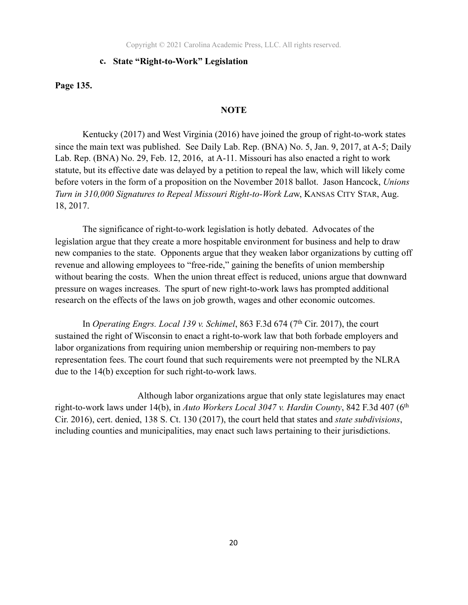Copyright © 2021 Carolina Academic Press, LLC. All rights reserved.

#### **c. State "Right-to-Work" Legislation**

**Page 135.** 

#### **NOTE**

 Kentucky (2017) and West Virginia (2016) have joined the group of right-to-work states since the main text was published. See Daily Lab. Rep. (BNA) No. 5, Jan. 9, 2017, at A-5; Daily Lab. Rep. (BNA) No. 29, Feb. 12, 2016, at A-11. Missouri has also enacted a right to work statute, but its effective date was delayed by a petition to repeal the law, which will likely come before voters in the form of a proposition on the November 2018 ballot. Jason Hancock, *Unions Turn in 310,000 Signatures to Repeal Missouri Right-to-Work La*w, KANSAS CITY STAR, Aug. 18, 2017.

The significance of right-to-work legislation is hotly debated. Advocates of the legislation argue that they create a more hospitable environment for business and help to draw new companies to the state. Opponents argue that they weaken labor organizations by cutting off revenue and allowing employees to "free-ride," gaining the benefits of union membership without bearing the costs. When the union threat effect is reduced, unions argue that downward pressure on wages increases. The spurt of new right-to-work laws has prompted additional research on the effects of the laws on job growth, wages and other economic outcomes.

In *Operating Engrs. Local 139 v. Schimel*, 863 F.3d 674 (7<sup>th</sup> Cir. 2017), the court sustained the right of Wisconsin to enact a right-to-work law that both forbade employers and labor organizations from requiring union membership or requiring non-members to pay representation fees. The court found that such requirements were not preempted by the NLRA due to the 14(b) exception for such right-to-work laws.

 Although labor organizations argue that only state legislatures may enact right-to-work laws under 14(b), in *Auto Workers Local 3047 v. Hardin County*, 842 F.3d 407 (6th Cir. 2016), cert. denied, 138 S. Ct. 130 (2017), the court held that states and *state subdivisions*, including counties and municipalities, may enact such laws pertaining to their jurisdictions.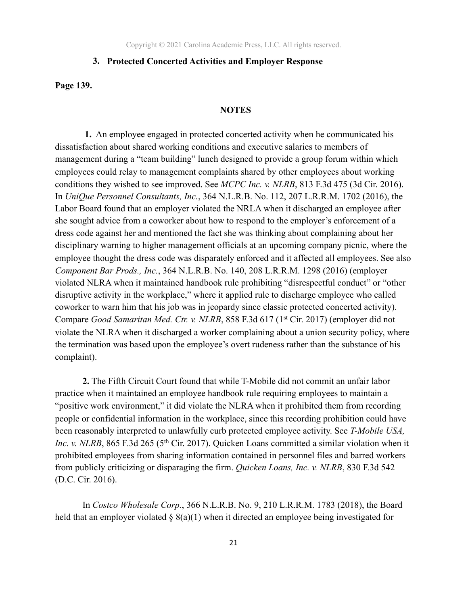#### **3. Protected Concerted Activities and Employer Response**

**Page 139.** 

#### **NOTES**

 **1.** An employee engaged in protected concerted activity when he communicated his dissatisfaction about shared working conditions and executive salaries to members of management during a "team building" lunch designed to provide a group forum within which employees could relay to management complaints shared by other employees about working conditions they wished to see improved. See *MCPC Inc. v. NLRB*, 813 F.3d 475 (3d Cir. 2016). In *UniQue Personnel Consultants, Inc.*, 364 N.L.R.B. No. 112, 207 L.R.R.M. 1702 (2016), the Labor Board found that an employer violated the NRLA when it discharged an employee after she sought advice from a coworker about how to respond to the employer's enforcement of a dress code against her and mentioned the fact she was thinking about complaining about her disciplinary warning to higher management officials at an upcoming company picnic, where the employee thought the dress code was disparately enforced and it affected all employees. See also *Component Bar Prods., Inc.*, 364 N.L.R.B. No. 140, 208 L.R.R.M. 1298 (2016) (employer violated NLRA when it maintained handbook rule prohibiting "disrespectful conduct" or "other disruptive activity in the workplace," where it applied rule to discharge employee who called coworker to warn him that his job was in jeopardy since classic protected concerted activity). Compare *Good Samaritan Med. Ctr. v. NLRB*, 858 F.3d 617 (1st Cir. 2017) (employer did not violate the NLRA when it discharged a worker complaining about a union security policy, where the termination was based upon the employee's overt rudeness rather than the substance of his complaint).

 **2.** The Fifth Circuit Court found that while T-Mobile did not commit an unfair labor practice when it maintained an employee handbook rule requiring employees to maintain a "positive work environment," it did violate the NLRA when it prohibited them from recording people or confidential information in the workplace, since this recording prohibition could have been reasonably interpreted to unlawfully curb protected employee activity. See *T-Mobile USA, Inc. v. NLRB*, 865 F.3d 265 (5<sup>th</sup> Cir. 2017). Quicken Loans committed a similar violation when it prohibited employees from sharing information contained in personnel files and barred workers from publicly criticizing or disparaging the firm. *Quicken Loans, Inc. v. NLRB*, 830 F.3d 542 (D.C. Cir. 2016).

 In *Costco Wholesale Corp.*, 366 N.L.R.B. No. 9, 210 L.R.R.M. 1783 (2018), the Board held that an employer violated  $\S 8(a)(1)$  when it directed an employee being investigated for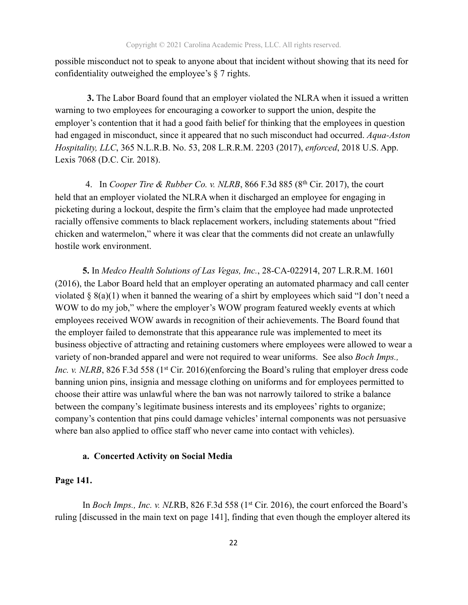possible misconduct not to speak to anyone about that incident without showing that its need for confidentiality outweighed the employee's § 7 rights.

 **3.** The Labor Board found that an employer violated the NLRA when it issued a written warning to two employees for encouraging a coworker to support the union, despite the employer's contention that it had a good faith belief for thinking that the employees in question had engaged in misconduct, since it appeared that no such misconduct had occurred. *Aqua-Aston Hospitality, LLC*, 365 N.L.R.B. No. 53, 208 L.R.R.M. 2203 (2017), *enforced*, 2018 U.S. App. Lexis 7068 (D.C. Cir. 2018).

4. In *Cooper Tire & Rubber Co. v. NLRB*, 866 F.3d 885 (8th Cir. 2017), the court held that an employer violated the NLRA when it discharged an employee for engaging in picketing during a lockout, despite the firm's claim that the employee had made unprotected racially offensive comments to black replacement workers, including statements about "fried chicken and watermelon," where it was clear that the comments did not create an unlawfully hostile work environment.

**5.** In *Medco Health Solutions of Las Vegas, Inc.*, 28-CA-022914, 207 L.R.R.M. 1601 (2016), the Labor Board held that an employer operating an automated pharmacy and call center violated § 8(a)(1) when it banned the wearing of a shirt by employees which said "I don't need a WOW to do my job," where the employer's WOW program featured weekly events at which employees received WOW awards in recognition of their achievements. The Board found that the employer failed to demonstrate that this appearance rule was implemented to meet its business objective of attracting and retaining customers where employees were allowed to wear a variety of non-branded apparel and were not required to wear uniforms. See also *Boch Imps., Inc. v. NLRB*, 826 F.3d 558 (1<sup>st</sup> Cir. 2016)(enforcing the Board's ruling that employer dress code banning union pins, insignia and message clothing on uniforms and for employees permitted to choose their attire was unlawful where the ban was not narrowly tailored to strike a balance between the company's legitimate business interests and its employees' rights to organize; company's contention that pins could damage vehicles' internal components was not persuasive where ban also applied to office staff who never came into contact with vehicles).

#### **a. Concerted Activity on Social Media**

#### **Page 141.**

In *Boch Imps., Inc. v. NLRB*, 826 F.3d 558 (1<sup>st</sup> Cir. 2016), the court enforced the Board's ruling [discussed in the main text on page 141], finding that even though the employer altered its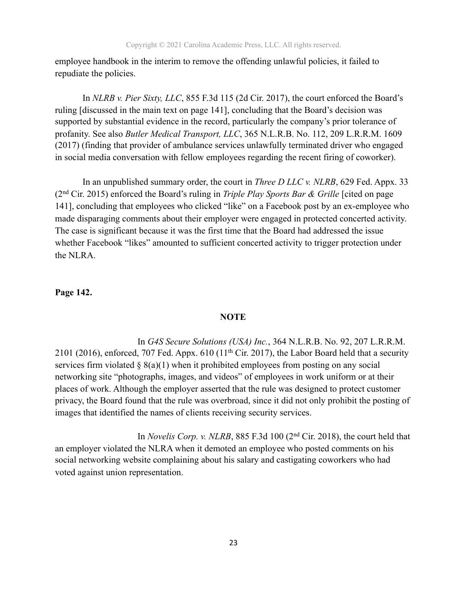employee handbook in the interim to remove the offending unlawful policies, it failed to repudiate the policies.

In *NLRB v. Pier Sixty, LLC*, 855 F.3d 115 (2d Cir. 2017), the court enforced the Board's ruling [discussed in the main text on page 141], concluding that the Board's decision was supported by substantial evidence in the record, particularly the company's prior tolerance of profanity. See also *Butler Medical Transport, LLC*, 365 N.L.R.B. No. 112, 209 L.R.R.M. 1609 (2017) (finding that provider of ambulance services unlawfully terminated driver who engaged in social media conversation with fellow employees regarding the recent firing of coworker).

In an unpublished summary order, the court in *Three D LLC v. NLRB*, 629 Fed. Appx. 33 (2nd Cir. 2015) enforced the Board's ruling in *Triple Play Sports Bar & Grille* [cited on page 141], concluding that employees who clicked "like" on a Facebook post by an ex-employee who made disparaging comments about their employer were engaged in protected concerted activity. The case is significant because it was the first time that the Board had addressed the issue whether Facebook "likes" amounted to sufficient concerted activity to trigger protection under the NLRA.

#### **Page 142.**

#### **NOTE**

 In *G4S Secure Solutions (USA) Inc.*, 364 N.L.R.B. No. 92, 207 L.R.R.M. 2101 (2016), enforced, 707 Fed. Appx.  $610$  (11<sup>th</sup> Cir. 2017), the Labor Board held that a security services firm violated  $\S$  8(a)(1) when it prohibited employees from posting on any social networking site "photographs, images, and videos" of employees in work uniform or at their places of work. Although the employer asserted that the rule was designed to protect customer privacy, the Board found that the rule was overbroad, since it did not only prohibit the posting of images that identified the names of clients receiving security services.

 In *Novelis Corp. v. NLRB*, 885 F.3d 100 (2nd Cir. 2018), the court held that an employer violated the NLRA when it demoted an employee who posted comments on his social networking website complaining about his salary and castigating coworkers who had voted against union representation.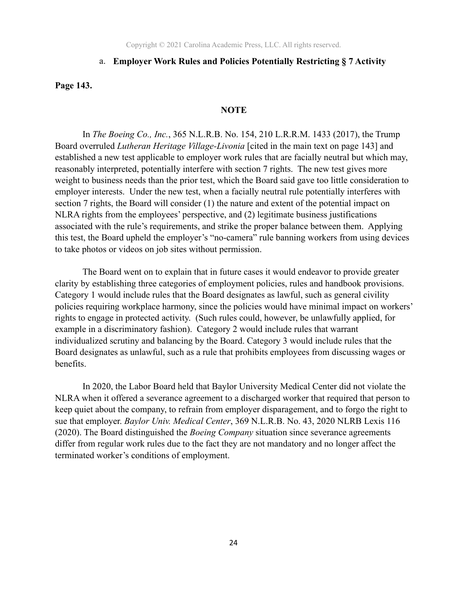#### a. **Employer Work Rules and Policies Potentially Restricting § 7 Activity**

**Page 143.**

#### **NOTE**

 In *The Boeing Co., Inc.*, 365 N.L.R.B. No. 154, 210 L.R.R.M. 1433 (2017), the Trump Board overruled *Lutheran Heritage Village-Livonia* [cited in the main text on page 143] and established a new test applicable to employer work rules that are facially neutral but which may, reasonably interpreted, potentially interfere with section 7 rights. The new test gives more weight to business needs than the prior test, which the Board said gave too little consideration to employer interests. Under the new test, when a facially neutral rule potentially interferes with section 7 rights, the Board will consider (1) the nature and extent of the potential impact on NLRA rights from the employees' perspective, and (2) legitimate business justifications associated with the rule's requirements, and strike the proper balance between them. Applying this test, the Board upheld the employer's "no-camera" rule banning workers from using devices to take photos or videos on job sites without permission.

 The Board went on to explain that in future cases it would endeavor to provide greater clarity by establishing three categories of employment policies, rules and handbook provisions. Category 1 would include rules that the Board designates as lawful, such as general civility policies requiring workplace harmony, since the policies would have minimal impact on workers' rights to engage in protected activity. (Such rules could, however, be unlawfully applied, for example in a discriminatory fashion). Category 2 would include rules that warrant individualized scrutiny and balancing by the Board. Category 3 would include rules that the Board designates as unlawful, such as a rule that prohibits employees from discussing wages or benefits.

 In 2020, the Labor Board held that Baylor University Medical Center did not violate the NLRA when it offered a severance agreement to a discharged worker that required that person to keep quiet about the company, to refrain from employer disparagement, and to forgo the right to sue that employer. *Baylor Univ. Medical Center*, 369 N.L.R.B. No. 43, 2020 NLRB Lexis 116 (2020). The Board distinguished the *Boeing Company* situation since severance agreements differ from regular work rules due to the fact they are not mandatory and no longer affect the terminated worker's conditions of employment.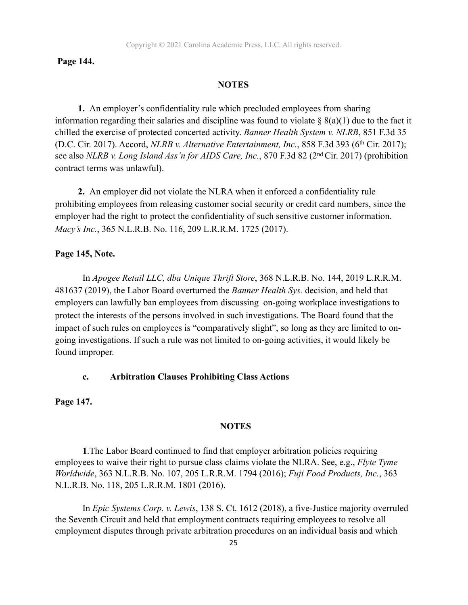#### **Page 144.**

#### **NOTES**

 **1.** An employer's confidentiality rule which precluded employees from sharing information regarding their salaries and discipline was found to violate  $\S$  8(a)(1) due to the fact it chilled the exercise of protected concerted activity. *Banner Health System v. NLRB*, 851 F.3d 35 (D.C. Cir. 2017). Accord, *NLRB v. Alternative Entertainment, Inc.*, 858 F.3d 393 (6th Cir. 2017); see also *NLRB v. Long Island Ass'n for AIDS Care, Inc.*, 870 F.3d 82 (2nd Cir. 2017) (prohibition contract terms was unlawful).

 **2.** An employer did not violate the NLRA when it enforced a confidentiality rule prohibiting employees from releasing customer social security or credit card numbers, since the employer had the right to protect the confidentiality of such sensitive customer information. *Macy's Inc.*, 365 N.L.R.B. No. 116, 209 L.R.R.M. 1725 (2017).

#### **Page 145, Note.**

 In *Apogee Retail LLC, dba Unique Thrift Store*, 368 N.L.R.B. No. 144, 2019 L.R.R.M. 481637 (2019), the Labor Board overturned the *Banner Health Sys.* decision, and held that employers can lawfully ban employees from discussing on-going workplace investigations to protect the interests of the persons involved in such investigations. The Board found that the impact of such rules on employees is "comparatively slight", so long as they are limited to ongoing investigations. If such a rule was not limited to on-going activities, it would likely be found improper.

#### **c. Arbitration Clauses Prohibiting Class Actions**

**Page 147.** 

#### **NOTES**

**1**.The Labor Board continued to find that employer arbitration policies requiring employees to waive their right to pursue class claims violate the NLRA. See, e.g., *Flyte Tyme Worldwide*, 363 N.L.R.B. No. 107, 205 L.R.R.M. 1794 (2016); *Fuji Food Products, Inc.*, 363 N.L.R.B. No. 118, 205 L.R.R.M. 1801 (2016).

In *Epic Systems Corp. v. Lewis*, 138 S. Ct. 1612 (2018), a five-Justice majority overruled the Seventh Circuit and held that employment contracts requiring employees to resolve all employment disputes through private arbitration procedures on an individual basis and which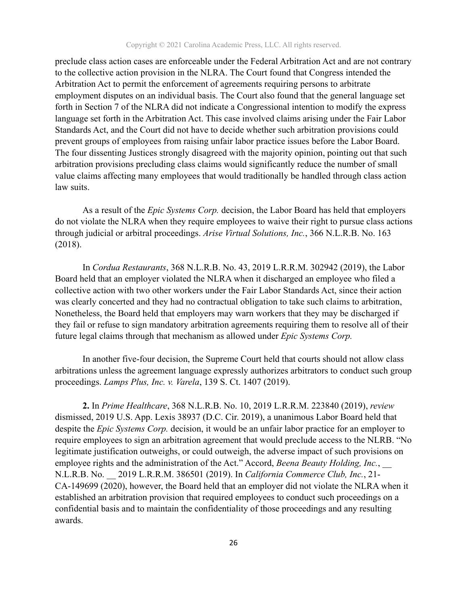preclude class action cases are enforceable under the Federal Arbitration Act and are not contrary to the collective action provision in the NLRA. The Court found that Congress intended the Arbitration Act to permit the enforcement of agreements requiring persons to arbitrate employment disputes on an individual basis. The Court also found that the general language set forth in Section 7 of the NLRA did not indicate a Congressional intention to modify the express language set forth in the Arbitration Act. This case involved claims arising under the Fair Labor Standards Act, and the Court did not have to decide whether such arbitration provisions could prevent groups of employees from raising unfair labor practice issues before the Labor Board. The four dissenting Justices strongly disagreed with the majority opinion, pointing out that such arbitration provisions precluding class claims would significantly reduce the number of small value claims affecting many employees that would traditionally be handled through class action law suits.

As a result of the *Epic Systems Corp.* decision, the Labor Board has held that employers do not violate the NLRA when they require employees to waive their right to pursue class actions through judicial or arbitral proceedings. *Arise Virtual Solutions, Inc.*, 366 N.L.R.B. No. 163 (2018).

In *Cordua Restaurants*, 368 N.L.R.B. No. 43, 2019 L.R.R.M. 302942 (2019), the Labor Board held that an employer violated the NLRA when it discharged an employee who filed a collective action with two other workers under the Fair Labor Standards Act, since their action was clearly concerted and they had no contractual obligation to take such claims to arbitration, Nonetheless, the Board held that employers may warn workers that they may be discharged if they fail or refuse to sign mandatory arbitration agreements requiring them to resolve all of their future legal claims through that mechanism as allowed under *Epic Systems Corp.*

In another five-four decision, the Supreme Court held that courts should not allow class arbitrations unless the agreement language expressly authorizes arbitrators to conduct such group proceedings. *Lamps Plus, Inc. v. Varela*, 139 S. Ct. 1407 (2019).

**2.** In *Prime Healthcare*, 368 N.L.R.B. No. 10, 2019 L.R.R.M. 223840 (2019), *review*  dismissed, 2019 U.S. App. Lexis 38937 (D.C. Cir. 2019), a unanimous Labor Board held that despite the *Epic Systems Corp.* decision, it would be an unfair labor practice for an employer to require employees to sign an arbitration agreement that would preclude access to the NLRB. "No legitimate justification outweighs, or could outweigh, the adverse impact of such provisions on employee rights and the administration of the Act." Accord, *Beena Beauty Holding, Inc.*, N.L.R.B. No. \_\_ 2019 L.R.R.M. 386501 (2019). In *California Commerce Club, Inc.*, 21- CA-149699 (2020), however, the Board held that an employer did not violate the NLRA when it established an arbitration provision that required employees to conduct such proceedings on a confidential basis and to maintain the confidentiality of those proceedings and any resulting awards.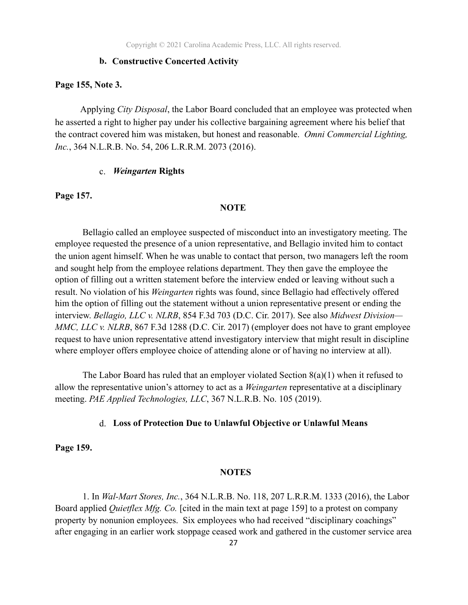#### **b. Constructive Concerted Activity**

#### **Page 155, Note 3.**

Applying *City Disposal*, the Labor Board concluded that an employee was protected when he asserted a right to higher pay under his collective bargaining agreement where his belief that the contract covered him was mistaken, but honest and reasonable. *Omni Commercial Lighting, Inc.*, 364 N.L.R.B. No. 54, 206 L.R.R.M. 2073 (2016).

#### c. *Weingarten* **Rights**

#### **Page 157.**

#### **NOTE**

 Bellagio called an employee suspected of misconduct into an investigatory meeting. The employee requested the presence of a union representative, and Bellagio invited him to contact the union agent himself. When he was unable to contact that person, two managers left the room and sought help from the employee relations department. They then gave the employee the option of filling out a written statement before the interview ended or leaving without such a result. No violation of his *Weingarten* rights was found, since Bellagio had effectively offered him the option of filling out the statement without a union representative present or ending the interview. *Bellagio, LLC v. NLRB*, 854 F.3d 703 (D.C. Cir. 2017). See also *Midwest Division— MMC, LLC v. NLRB*, 867 F.3d 1288 (D.C. Cir. 2017) (employer does not have to grant employee request to have union representative attend investigatory interview that might result in discipline where employer offers employee choice of attending alone or of having no interview at all).

The Labor Board has ruled that an employer violated Section  $8(a)(1)$  when it refused to allow the representative union's attorney to act as a *Weingarten* representative at a disciplinary meeting. *PAE Applied Technologies, LLC*, 367 N.L.R.B. No. 105 (2019).

#### d. **Loss of Protection Due to Unlawful Objective or Unlawful Means**

**Page 159.** 

#### **NOTES**

 1. In *Wal-Mart Stores, Inc.*, 364 N.L.R.B. No. 118, 207 L.R.R.M. 1333 (2016), the Labor Board applied *Quietflex Mfg. Co.* [cited in the main text at page 159] to a protest on company property by nonunion employees. Six employees who had received "disciplinary coachings" after engaging in an earlier work stoppage ceased work and gathered in the customer service area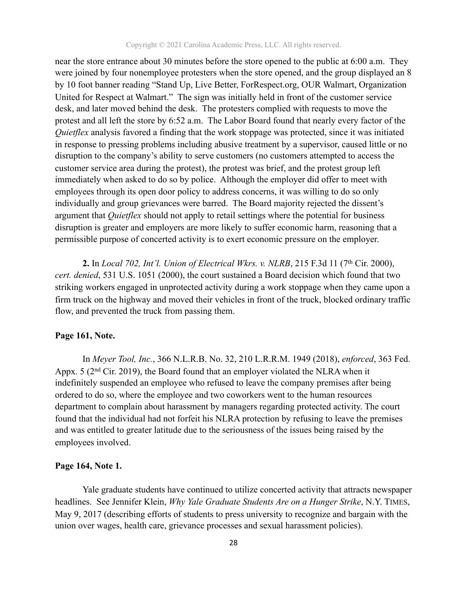near the store entrance about 30 minutes before the store opened to the public at 6:00 a.m. They were joined by four nonemployee protesters when the store opened, and the group displayed an 8 by 10 foot banner reading "Stand Up, Live Better, ForRespect.org, OUR Walmart, Organization United for Respect at Walmart." The sign was initially held in front of the customer service desk, and later moved behind the desk. The protesters complied with requests to move the protest and all left the store by 6:52 a.m. The Labor Board found that nearly every factor of the *Quietflex* analysis favored a finding that the work stoppage was protected, since it was initiated in response to pressing problems including abusive treatment by a supervisor, caused little or no disruption to the company's ability to serve customers (no customers attempted to access the customer service area during the protest), the protest was brief, and the protest group left immediately when asked to do so by police. Although the employer did offer to meet with employees through its open door policy to address concerns, it was willing to do so only individually and group grievances were barred. The Board majority rejected the dissent's argument that *Quietflex* should not apply to retail settings where the potential for business disruption is greater and employers are more likely to suffer economic harm, reasoning that a permissible purpose of concerted activity is to exert economic pressure on the employer.

 **2.** In *Local 702, Int'l. Union of Electrical Wkrs. v. NLRB*, 215 F.3d 11 (7th Cir. 2000), *cert. denied*, 531 U.S. 1051 (2000), the court sustained a Board decision which found that two striking workers engaged in unprotected activity during a work stoppage when they came upon a firm truck on the highway and moved their vehicles in front of the truck, blocked ordinary traffic flow, and prevented the truck from passing them.

#### **Page 161, Note.**

 In *Meyer Tool, Inc.*, 366 N.L.R.B. No. 32, 210 L.R.R.M. 1949 (2018), *enforced*, 363 Fed. Appx. 5 (2nd Cir. 2019), the Board found that an employer violated the NLRA when it indefinitely suspended an employee who refused to leave the company premises after being ordered to do so, where the employee and two coworkers went to the human resources department to complain about harassment by managers regarding protected activity. The court found that the individual had not forfeit his NLRA protection by refusing to leave the premises and was entitled to greater latitude due to the seriousness of the issues being raised by the employees involved.

#### **Page 164, Note 1.**

Yale graduate students have continued to utilize concerted activity that attracts newspaper headlines. See Jennifer Klein, *Why Yale Graduate Students Are on a Hunger Strike*, N.Y. TIMES, May 9, 2017 (describing efforts of students to press university to recognize and bargain with the union over wages, health care, grievance processes and sexual harassment policies).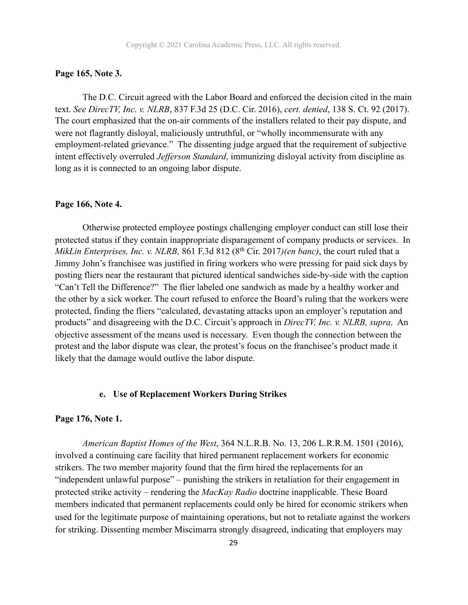#### **Page 165, Note 3.**

The D.C. Circuit agreed with the Labor Board and enforced the decision cited in the main text. *See DirecTV, Inc. v. NLRB*, 837 F.3d 25 (D.C. Cir. 2016), *cert. denied*, 138 S. Ct. 92 (2017). The court emphasized that the on-air comments of the installers related to their pay dispute, and were not flagrantly disloyal, maliciously untruthful, or "wholly incommensurate with any employment-related grievance." The dissenting judge argued that the requirement of subjective intent effectively overruled *Jefferson Standard*, immunizing disloyal activity from discipline as long as it is connected to an ongoing labor dispute.

#### **Page 166, Note 4.**

 Otherwise protected employee postings challenging employer conduct can still lose their protected status if they contain inappropriate disparagement of company products or services. In *MikLin Enterprises, Inc. v. NLRB,* 861 F.3d 812 (8th Cir. 2017*)(en banc)*, the court ruled that a Jimmy John's franchisee was justified in firing workers who were pressing for paid sick days by posting fliers near the restaurant that pictured identical sandwiches side-by-side with the caption "Can't Tell the Difference?" The flier labeled one sandwich as made by a healthy worker and the other by a sick worker. The court refused to enforce the Board's ruling that the workers were protected, finding the fliers "calculated, devastating attacks upon an employer's reputation and products" and disagreeing with the D.C. Circuit's approach in *DirecTV, Inc. v. NLRB, supra*. An objective assessment of the means used is necessary. Even though the connection between the protest and the labor dispute was clear, the protest's focus on the franchisee's product made it likely that the damage would outlive the labor dispute.

#### **e. Use of Replacement Workers During Strikes**

#### **Page 176, Note 1.**

 *American Baptist Homes of the West*, 364 N.L.R.B. No. 13, 206 L.R.R.M. 1501 (2016), involved a continuing care facility that hired permanent replacement workers for economic strikers. The two member majority found that the firm hired the replacements for an "independent unlawful purpose" – punishing the strikers in retaliation for their engagement in protected strike activity – rendering the *MacKay Radio* doctrine inapplicable. These Board members indicated that permanent replacements could only be hired for economic strikers when used for the legitimate purpose of maintaining operations, but not to retaliate against the workers for striking. Dissenting member Miscimarra strongly disagreed, indicating that employers may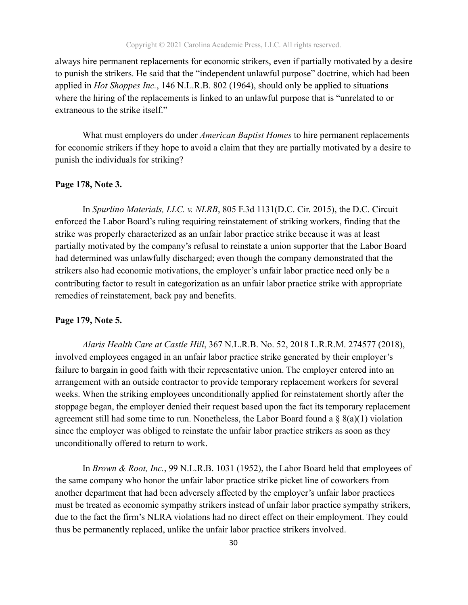always hire permanent replacements for economic strikers, even if partially motivated by a desire to punish the strikers. He said that the "independent unlawful purpose" doctrine, which had been applied in *Hot Shoppes Inc.*, 146 N.L.R.B. 802 (1964), should only be applied to situations where the hiring of the replacements is linked to an unlawful purpose that is "unrelated to or extraneous to the strike itself."

 What must employers do under *American Baptist Homes* to hire permanent replacements for economic strikers if they hope to avoid a claim that they are partially motivated by a desire to punish the individuals for striking?

#### **Page 178, Note 3.**

 In *Spurlino Materials, LLC. v. NLRB*, 805 F.3d 1131(D.C. Cir. 2015), the D.C. Circuit enforced the Labor Board's ruling requiring reinstatement of striking workers, finding that the strike was properly characterized as an unfair labor practice strike because it was at least partially motivated by the company's refusal to reinstate a union supporter that the Labor Board had determined was unlawfully discharged; even though the company demonstrated that the strikers also had economic motivations, the employer's unfair labor practice need only be a contributing factor to result in categorization as an unfair labor practice strike with appropriate remedies of reinstatement, back pay and benefits.

#### **Page 179, Note 5.**

*Alaris Health Care at Castle Hill*, 367 N.L.R.B. No. 52, 2018 L.R.R.M. 274577 (2018), involved employees engaged in an unfair labor practice strike generated by their employer's failure to bargain in good faith with their representative union. The employer entered into an arrangement with an outside contractor to provide temporary replacement workers for several weeks. When the striking employees unconditionally applied for reinstatement shortly after the stoppage began, the employer denied their request based upon the fact its temporary replacement agreement still had some time to run. Nonetheless, the Labor Board found a  $\S$  8(a)(1) violation since the employer was obliged to reinstate the unfair labor practice strikers as soon as they unconditionally offered to return to work.

 In *Brown & Root, Inc.*, 99 N.L.R.B. 1031 (1952), the Labor Board held that employees of the same company who honor the unfair labor practice strike picket line of coworkers from another department that had been adversely affected by the employer's unfair labor practices must be treated as economic sympathy strikers instead of unfair labor practice sympathy strikers, due to the fact the firm's NLRA violations had no direct effect on their employment. They could thus be permanently replaced, unlike the unfair labor practice strikers involved.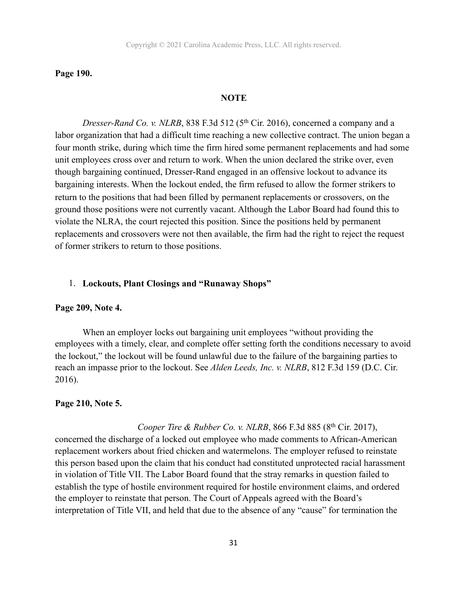#### **Page 190.**

#### **NOTE**

*Dresser-Rand Co. v. NLRB*, 838 F.3d 512 (5<sup>th</sup> Cir. 2016), concerned a company and a labor organization that had a difficult time reaching a new collective contract. The union began a four month strike, during which time the firm hired some permanent replacements and had some unit employees cross over and return to work. When the union declared the strike over, even though bargaining continued, Dresser-Rand engaged in an offensive lockout to advance its bargaining interests. When the lockout ended, the firm refused to allow the former strikers to return to the positions that had been filled by permanent replacements or crossovers, on the ground those positions were not currently vacant. Although the Labor Board had found this to violate the NLRA, the court rejected this position. Since the positions held by permanent replacements and crossovers were not then available, the firm had the right to reject the request of former strikers to return to those positions.

## 1. **Lockouts, Plant Closings and "Runaway Shops"**

#### **Page 209, Note 4.**

When an employer locks out bargaining unit employees "without providing the employees with a timely, clear, and complete offer setting forth the conditions necessary to avoid the lockout," the lockout will be found unlawful due to the failure of the bargaining parties to reach an impasse prior to the lockout. See *Alden Leeds, Inc. v. NLRB*, 812 F.3d 159 (D.C. Cir. 2016).

#### **Page 210, Note 5.**

#### *Cooper Tire & Rubber Co. v. NLRB*, 866 F.3d 885 (8<sup>th</sup> Cir. 2017),

concerned the discharge of a locked out employee who made comments to African-American replacement workers about fried chicken and watermelons. The employer refused to reinstate this person based upon the claim that his conduct had constituted unprotected racial harassment in violation of Title VII. The Labor Board found that the stray remarks in question failed to establish the type of hostile environment required for hostile environment claims, and ordered the employer to reinstate that person. The Court of Appeals agreed with the Board's interpretation of Title VII, and held that due to the absence of any "cause" for termination the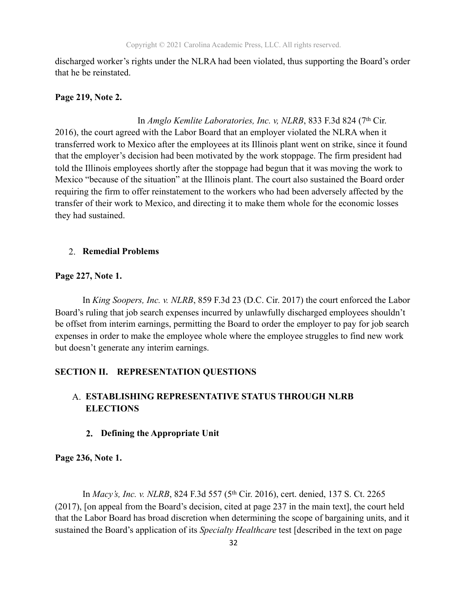discharged worker's rights under the NLRA had been violated, thus supporting the Board's order that he be reinstated.

#### **Page 219, Note 2.**

In *Amglo Kemlite Laboratories, Inc. v, NLRB*, 833 F.3d 824 (7<sup>th</sup> Cir. 2016), the court agreed with the Labor Board that an employer violated the NLRA when it transferred work to Mexico after the employees at its Illinois plant went on strike, since it found that the employer's decision had been motivated by the work stoppage. The firm president had told the Illinois employees shortly after the stoppage had begun that it was moving the work to Mexico "because of the situation" at the Illinois plant. The court also sustained the Board order requiring the firm to offer reinstatement to the workers who had been adversely affected by the transfer of their work to Mexico, and directing it to make them whole for the economic losses they had sustained.

#### 2. **Remedial Problems**

#### **Page 227, Note 1.**

 In *King Soopers, Inc. v. NLRB*, 859 F.3d 23 (D.C. Cir. 2017) the court enforced the Labor Board's ruling that job search expenses incurred by unlawfully discharged employees shouldn't be offset from interim earnings, permitting the Board to order the employer to pay for job search expenses in order to make the employee whole where the employee struggles to find new work but doesn't generate any interim earnings.

#### **SECTION II. REPRESENTATION QUESTIONS**

## A. **ESTABLISHING REPRESENTATIVE STATUS THROUGH NLRB ELECTIONS**

## **2. Defining the Appropriate Unit**

#### **Page 236, Note 1.**

In *Macy's, Inc. v. NLRB*, 824 F.3d 557 (5th Cir. 2016), cert. denied, 137 S. Ct. 2265 (2017), [on appeal from the Board's decision, cited at page 237 in the main text], the court held that the Labor Board has broad discretion when determining the scope of bargaining units, and it sustained the Board's application of its *Specialty Healthcare* test [described in the text on page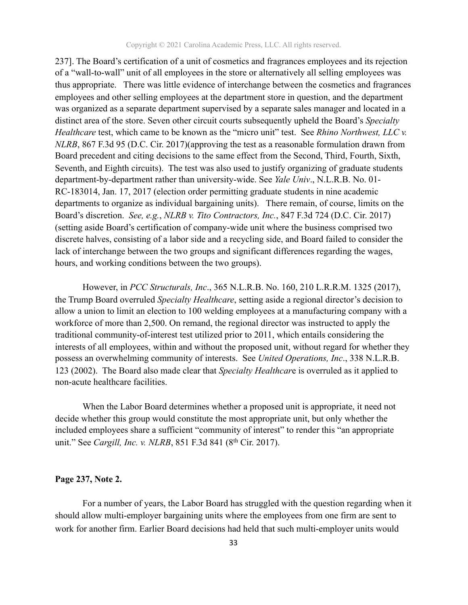237]. The Board's certification of a unit of cosmetics and fragrances employees and its rejection of a "wall-to-wall" unit of all employees in the store or alternatively all selling employees was thus appropriate. There was little evidence of interchange between the cosmetics and fragrances employees and other selling employees at the department store in question, and the department was organized as a separate department supervised by a separate sales manager and located in a distinct area of the store. Seven other circuit courts subsequently upheld the Board's *Specialty Healthcare* test, which came to be known as the "micro unit" test. See *Rhino Northwest, LLC v. NLRB*, 867 F.3d 95 (D.C. Cir. 2017)(approving the test as a reasonable formulation drawn from Board precedent and citing decisions to the same effect from the Second, Third, Fourth, Sixth, Seventh, and Eighth circuits). The test was also used to justify organizing of graduate students department-by-department rather than university-wide. See *Yale Univ*., N.L.R.B. No. 01- RC-183014, Jan. 17, 2017 (election order permitting graduate students in nine academic departments to organize as individual bargaining units). There remain, of course, limits on the Board's discretion. *See, e.g.*, *NLRB v. Tito Contractors, Inc.*, 847 F.3d 724 (D.C. Cir. 2017) (setting aside Board's certification of company-wide unit where the business comprised two discrete halves, consisting of a labor side and a recycling side, and Board failed to consider the lack of interchange between the two groups and significant differences regarding the wages, hours, and working conditions between the two groups).

However, in *PCC Structurals, Inc*., 365 N.L.R.B. No. 160, 210 L.R.R.M. 1325 (2017), the Trump Board overruled *Specialty Healthcare*, setting aside a regional director's decision to allow a union to limit an election to 100 welding employees at a manufacturing company with a workforce of more than 2,500. On remand, the regional director was instructed to apply the traditional community-of-interest test utilized prior to 2011, which entails considering the interests of all employees, within and without the proposed unit, without regard for whether they possess an overwhelming community of interests. See *United Operations, Inc*., 338 N.L.R.B. 123 (2002). The Board also made clear that *Specialty Healthcar*e is overruled as it applied to non-acute healthcare facilities.

When the Labor Board determines whether a proposed unit is appropriate, it need not decide whether this group would constitute the most appropriate unit, but only whether the included employees share a sufficient "community of interest" to render this "an appropriate unit." See *Cargill, Inc. v. NLRB*, 851 F.3d 841 (8th Cir. 2017).

#### **Page 237, Note 2.**

For a number of years, the Labor Board has struggled with the question regarding when it should allow multi-employer bargaining units where the employees from one firm are sent to work for another firm. Earlier Board decisions had held that such multi-employer units would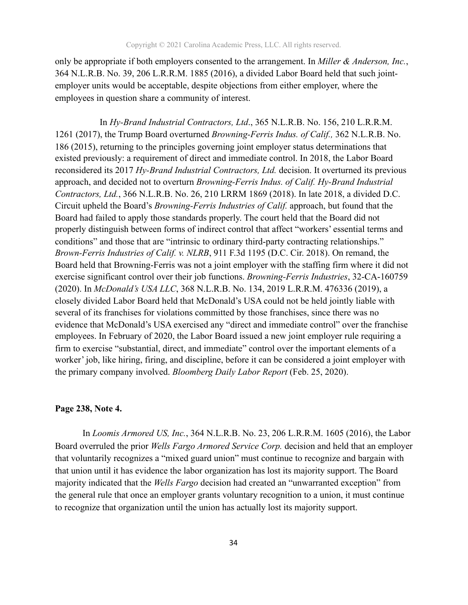only be appropriate if both employers consented to the arrangement. In *Miller & Anderson, Inc.*, 364 N.L.R.B. No. 39, 206 L.R.R.M. 1885 (2016), a divided Labor Board held that such jointemployer units would be acceptable, despite objections from either employer, where the employees in question share a community of interest.

 In *Hy-Brand Industrial Contractors, Ltd*., 365 N.L.R.B. No. 156, 210 L.R.R.M. 1261 (2017), the Trump Board overturned *Browning-Ferris Indus. of Calif.,* 362 N.L.R.B. No. 186 (2015), returning to the principles governing joint employer status determinations that existed previously: a requirement of direct and immediate control. In 2018, the Labor Board reconsidered its 2017 *Hy-Brand Industrial Contractors, Ltd.* decision. It overturned its previous approach, and decided not to overturn *Browning-Ferris Indus. of Calif. Hy-Brand Industrial Contractors, Ltd.*, 366 N.L.R.B. No. 26, 210 LRRM 1869 (2018). In late 2018, a divided D.C. Circuit upheld the Board's *Browning-Ferris Industries of Calif.* approach, but found that the Board had failed to apply those standards properly. The court held that the Board did not properly distinguish between forms of indirect control that affect "workers' essential terms and conditions" and those that are "intrinsic to ordinary third-party contracting relationships." *Brown-Ferris Industries of Calif. v. NLRB*, 911 F.3d 1195 (D.C. Cir. 2018). On remand, the Board held that Browning-Ferris was not a joint employer with the staffing firm where it did not exercise significant control over their job functions. *Browning-Ferris Industries*, 32-CA-160759 (2020). In *McDonald's USA LLC*, 368 N.L.R.B. No. 134, 2019 L.R.R.M. 476336 (2019), a closely divided Labor Board held that McDonald's USA could not be held jointly liable with several of its franchises for violations committed by those franchises, since there was no evidence that McDonald's USA exercised any "direct and immediate control" over the franchise employees. In February of 2020, the Labor Board issued a new joint employer rule requiring a firm to exercise "substantial, direct, and immediate" control over the important elements of a worker' job, like hiring, firing, and discipline, before it can be considered a joint employer with the primary company involved. *Bloomberg Daily Labor Report* (Feb. 25, 2020).

#### **Page 238, Note 4.**

 In *Loomis Armored US, Inc.*, 364 N.L.R.B. No. 23, 206 L.R.R.M. 1605 (2016), the Labor Board overruled the prior *Wells Fargo Armored Service Corp.* decision and held that an employer that voluntarily recognizes a "mixed guard union" must continue to recognize and bargain with that union until it has evidence the labor organization has lost its majority support. The Board majority indicated that the *Wells Fargo* decision had created an "unwarranted exception" from the general rule that once an employer grants voluntary recognition to a union, it must continue to recognize that organization until the union has actually lost its majority support.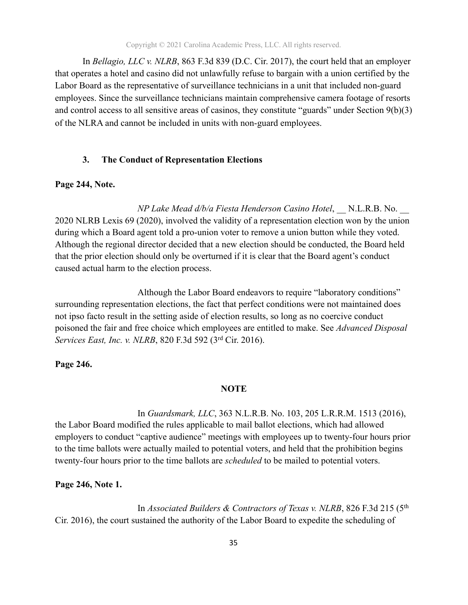In *Bellagio, LLC v. NLRB*, 863 F.3d 839 (D.C. Cir. 2017), the court held that an employer that operates a hotel and casino did not unlawfully refuse to bargain with a union certified by the Labor Board as the representative of surveillance technicians in a unit that included non-guard employees. Since the surveillance technicians maintain comprehensive camera footage of resorts and control access to all sensitive areas of casinos, they constitute "guards" under Section 9(b)(3) of the NLRA and cannot be included in units with non-guard employees.

#### **3. The Conduct of Representation Elections**

#### **Page 244, Note.**

 *NP Lake Mead d/b/a Fiesta Henderson Casino Hotel*, \_\_ N.L.R.B. No. \_\_ 2020 NLRB Lexis 69 (2020), involved the validity of a representation election won by the union during which a Board agent told a pro-union voter to remove a union button while they voted. Although the regional director decided that a new election should be conducted, the Board held that the prior election should only be overturned if it is clear that the Board agent's conduct caused actual harm to the election process.

 Although the Labor Board endeavors to require "laboratory conditions" surrounding representation elections, the fact that perfect conditions were not maintained does not ipso facto result in the setting aside of election results, so long as no coercive conduct poisoned the fair and free choice which employees are entitled to make. See *Advanced Disposal Services East, Inc. v. NLRB*, 820 F.3d 592 (3rd Cir. 2016).

#### **Page 246.**

#### **NOTE**

 In *Guardsmark, LLC*, 363 N.L.R.B. No. 103, 205 L.R.R.M. 1513 (2016), the Labor Board modified the rules applicable to mail ballot elections, which had allowed employers to conduct "captive audience" meetings with employees up to twenty-four hours prior to the time ballots were actually mailed to potential voters, and held that the prohibition begins twenty-four hours prior to the time ballots are *scheduled* to be mailed to potential voters.

#### **Page 246, Note 1.**

 In *Associated Builders & Contractors of Texas v. NLRB*, 826 F.3d 215 (5th Cir. 2016), the court sustained the authority of the Labor Board to expedite the scheduling of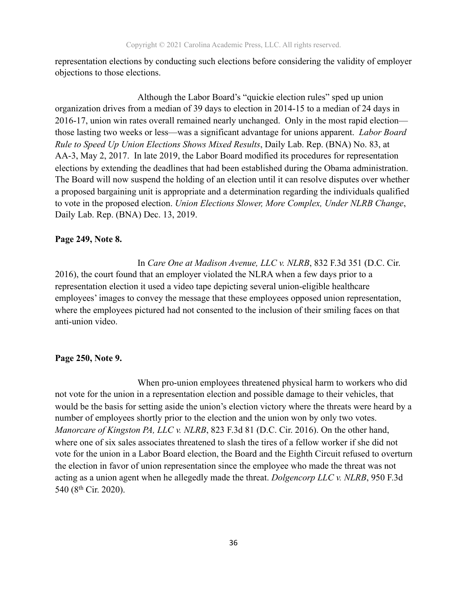representation elections by conducting such elections before considering the validity of employer objections to those elections.

 Although the Labor Board's "quickie election rules" sped up union organization drives from a median of 39 days to election in 2014-15 to a median of 24 days in 2016-17, union win rates overall remained nearly unchanged. Only in the most rapid election those lasting two weeks or less—was a significant advantage for unions apparent. *Labor Board Rule to Speed Up Union Elections Shows Mixed Results*, Daily Lab. Rep. (BNA) No. 83, at AA-3, May 2, 2017. In late 2019, the Labor Board modified its procedures for representation elections by extending the deadlines that had been established during the Obama administration. The Board will now suspend the holding of an election until it can resolve disputes over whether a proposed bargaining unit is appropriate and a determination regarding the individuals qualified to vote in the proposed election. *Union Elections Slower, More Complex, Under NLRB Change*, Daily Lab. Rep. (BNA) Dec. 13, 2019.

#### **Page 249, Note 8.**

 In *Care One at Madison Avenue, LLC v. NLRB*, 832 F.3d 351 (D.C. Cir. 2016), the court found that an employer violated the NLRA when a few days prior to a representation election it used a video tape depicting several union-eligible healthcare employees' images to convey the message that these employees opposed union representation, where the employees pictured had not consented to the inclusion of their smiling faces on that anti-union video.

#### **Page 250, Note 9.**

 When pro-union employees threatened physical harm to workers who did not vote for the union in a representation election and possible damage to their vehicles, that would be the basis for setting aside the union's election victory where the threats were heard by a number of employees shortly prior to the election and the union won by only two votes. *Manorcare of Kingston PA, LLC v. NLRB*, 823 F.3d 81 (D.C. Cir. 2016). On the other hand, where one of six sales associates threatened to slash the tires of a fellow worker if she did not vote for the union in a Labor Board election, the Board and the Eighth Circuit refused to overturn the election in favor of union representation since the employee who made the threat was not acting as a union agent when he allegedly made the threat. *Dolgencorp LLC v. NLRB*, 950 F.3d 540 (8th Cir. 2020).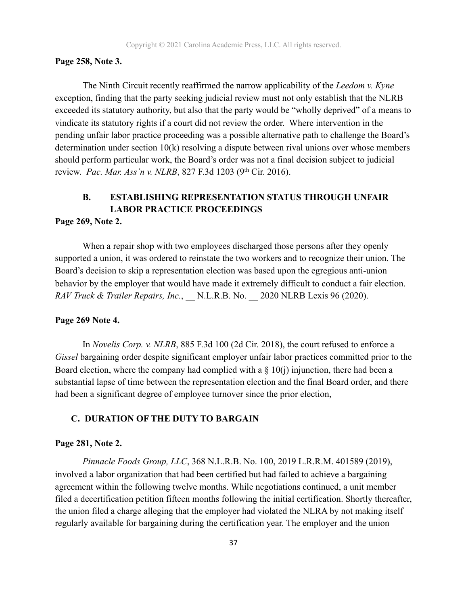#### **Page 258, Note 3.**

 The Ninth Circuit recently reaffirmed the narrow applicability of the *Leedom v. Kyne* exception, finding that the party seeking judicial review must not only establish that the NLRB exceeded its statutory authority, but also that the party would be "wholly deprived" of a means to vindicate its statutory rights if a court did not review the order. Where intervention in the pending unfair labor practice proceeding was a possible alternative path to challenge the Board's determination under section 10(k) resolving a dispute between rival unions over whose members should perform particular work, the Board's order was not a final decision subject to judicial review. *Pac. Mar. Ass'n v. NLRB*, 827 F.3d 1203 (9th Cir. 2016).

## **B. ESTABLISHING REPRESENTATION STATUS THROUGH UNFAIR LABOR PRACTICE PROCEEDINGS**

#### **Page 269, Note 2.**

 When a repair shop with two employees discharged those persons after they openly supported a union, it was ordered to reinstate the two workers and to recognize their union. The Board's decision to skip a representation election was based upon the egregious anti-union behavior by the employer that would have made it extremely difficult to conduct a fair election. *RAV Truck & Trailer Repairs, Inc.*, \_\_ N.L.R.B. No. \_\_ 2020 NLRB Lexis 96 (2020).

#### **Page 269 Note 4.**

In *Novelis Corp. v. NLRB*, 885 F.3d 100 (2d Cir. 2018), the court refused to enforce a *Gissel* bargaining order despite significant employer unfair labor practices committed prior to the Board election, where the company had complied with a  $\S$  10(j) injunction, there had been a substantial lapse of time between the representation election and the final Board order, and there had been a significant degree of employee turnover since the prior election,

#### **C. DURATION OF THE DUTY TO BARGAIN**

#### **Page 281, Note 2.**

*Pinnacle Foods Group, LLC*, 368 N.L.R.B. No. 100, 2019 L.R.R.M. 401589 (2019), involved a labor organization that had been certified but had failed to achieve a bargaining agreement within the following twelve months. While negotiations continued, a unit member filed a decertification petition fifteen months following the initial certification. Shortly thereafter, the union filed a charge alleging that the employer had violated the NLRA by not making itself regularly available for bargaining during the certification year. The employer and the union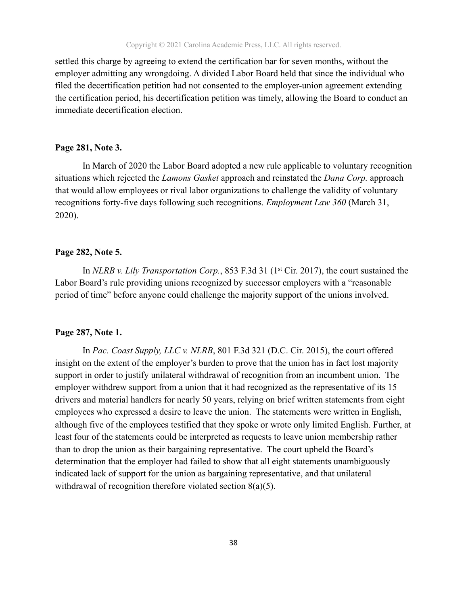settled this charge by agreeing to extend the certification bar for seven months, without the employer admitting any wrongdoing. A divided Labor Board held that since the individual who filed the decertification petition had not consented to the employer-union agreement extending the certification period, his decertification petition was timely, allowing the Board to conduct an immediate decertification election.

#### **Page 281, Note 3.**

 In March of 2020 the Labor Board adopted a new rule applicable to voluntary recognition situations which rejected the *Lamons Gasket* approach and reinstated the *Dana Corp.* approach that would allow employees or rival labor organizations to challenge the validity of voluntary recognitions forty-five days following such recognitions. *Employment Law 360* (March 31, 2020).

#### **Page 282, Note 5.**

In *NLRB v. Lily Transportation Corp.*, 853 F.3d 31 (1<sup>st</sup> Cir. 2017), the court sustained the Labor Board's rule providing unions recognized by successor employers with a "reasonable period of time" before anyone could challenge the majority support of the unions involved.

#### **Page 287, Note 1.**

 In *Pac. Coast Supply, LLC v. NLRB*, 801 F.3d 321 (D.C. Cir. 2015), the court offered insight on the extent of the employer's burden to prove that the union has in fact lost majority support in order to justify unilateral withdrawal of recognition from an incumbent union. The employer withdrew support from a union that it had recognized as the representative of its 15 drivers and material handlers for nearly 50 years, relying on brief written statements from eight employees who expressed a desire to leave the union. The statements were written in English, although five of the employees testified that they spoke or wrote only limited English. Further, at least four of the statements could be interpreted as requests to leave union membership rather than to drop the union as their bargaining representative. The court upheld the Board's determination that the employer had failed to show that all eight statements unambiguously indicated lack of support for the union as bargaining representative, and that unilateral withdrawal of recognition therefore violated section 8(a)(5).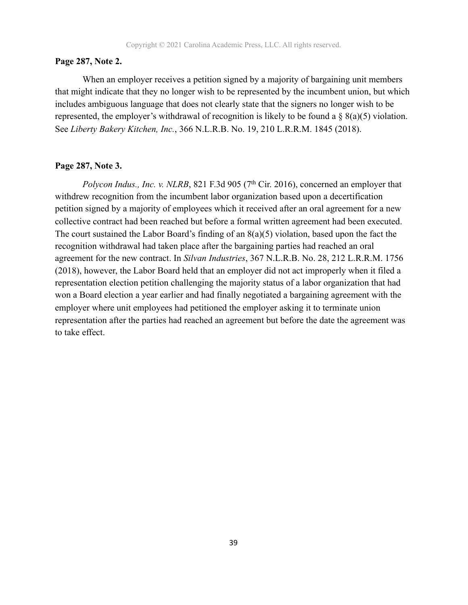#### **Page 287, Note 2.**

 When an employer receives a petition signed by a majority of bargaining unit members that might indicate that they no longer wish to be represented by the incumbent union, but which includes ambiguous language that does not clearly state that the signers no longer wish to be represented, the employer's withdrawal of recognition is likely to be found a § 8(a)(5) violation. See *Liberty Bakery Kitchen, Inc.*, 366 N.L.R.B. No. 19, 210 L.R.R.M. 1845 (2018).

#### **Page 287, Note 3.**

*Polycon Indus., Inc. v. NLRB*, 821 F.3d 905 (7<sup>th</sup> Cir. 2016), concerned an employer that withdrew recognition from the incumbent labor organization based upon a decertification petition signed by a majority of employees which it received after an oral agreement for a new collective contract had been reached but before a formal written agreement had been executed. The court sustained the Labor Board's finding of an  $8(a)(5)$  violation, based upon the fact the recognition withdrawal had taken place after the bargaining parties had reached an oral agreement for the new contract. In *Silvan Industries*, 367 N.L.R.B. No. 28, 212 L.R.R.M. 1756 (2018), however, the Labor Board held that an employer did not act improperly when it filed a representation election petition challenging the majority status of a labor organization that had won a Board election a year earlier and had finally negotiated a bargaining agreement with the employer where unit employees had petitioned the employer asking it to terminate union representation after the parties had reached an agreement but before the date the agreement was to take effect.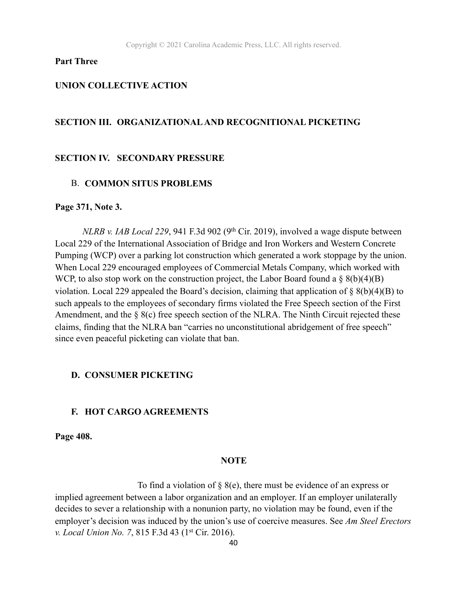#### **Part Three**

#### **UNION COLLECTIVE ACTION**

#### **SECTION III. ORGANIZATIONAL AND RECOGNITIONAL PICKETING**

#### **SECTION IV. SECONDARY PRESSURE**

#### B. **COMMON SITUS PROBLEMS**

#### **Page 371, Note 3.**

*NLRB v. IAB Local 229*, 941 F.3d 902 (9<sup>th</sup> Cir. 2019), involved a wage dispute between Local 229 of the International Association of Bridge and Iron Workers and Western Concrete Pumping (WCP) over a parking lot construction which generated a work stoppage by the union. When Local 229 encouraged employees of Commercial Metals Company, which worked with WCP, to also stop work on the construction project, the Labor Board found a  $\S$  8(b)(4)(B) violation. Local 229 appealed the Board's decision, claiming that application of  $\S 8(b)(4)(B)$  to such appeals to the employees of secondary firms violated the Free Speech section of the First Amendment, and the § 8(c) free speech section of the NLRA. The Ninth Circuit rejected these claims, finding that the NLRA ban "carries no unconstitutional abridgement of free speech" since even peaceful picketing can violate that ban.

#### **D. CONSUMER PICKETING**

#### **F. HOT CARGO AGREEMENTS**

**Page 408.** 

#### **NOTE**

To find a violation of  $\S$  8(e), there must be evidence of an express or implied agreement between a labor organization and an employer. If an employer unilaterally decides to sever a relationship with a nonunion party, no violation may be found, even if the employer's decision was induced by the union's use of coercive measures. See *Am Steel Erectors v. Local Union No. 7*, 815 F.3d 43 (1st Cir. 2016).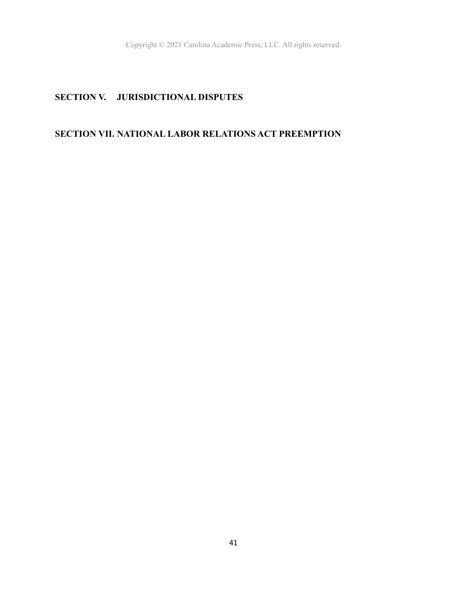## **SECTION V. JURISDICTIONAL DISPUTES**

## **SECTION VII. NATIONAL LABOR RELATIONS ACT PREEMPTION**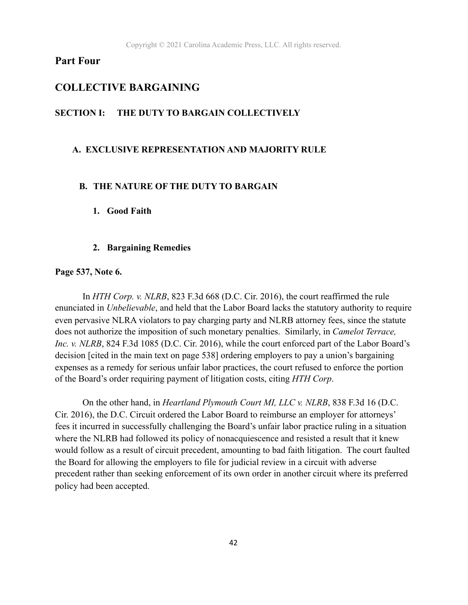## **Part Four**

#### **COLLECTIVE BARGAINING**

#### **SECTION I: THE DUTY TO BARGAIN COLLECTIVELY**

#### **A. EXCLUSIVE REPRESENTATION AND MAJORITY RULE**

#### **B. THE NATURE OF THE DUTY TO BARGAIN**

#### **1. Good Faith**

#### **2. Bargaining Remedies**

#### **Page 537, Note 6.**

 In *HTH Corp. v. NLRB*, 823 F.3d 668 (D.C. Cir. 2016), the court reaffirmed the rule enunciated in *Unbelievable*, and held that the Labor Board lacks the statutory authority to require even pervasive NLRA violators to pay charging party and NLRB attorney fees, since the statute does not authorize the imposition of such monetary penalties. Similarly, in *Camelot Terrace, Inc. v. NLRB*, 824 F.3d 1085 (D.C. Cir. 2016), while the court enforced part of the Labor Board's decision [cited in the main text on page 538] ordering employers to pay a union's bargaining expenses as a remedy for serious unfair labor practices, the court refused to enforce the portion of the Board's order requiring payment of litigation costs, citing *HTH Corp*.

 On the other hand, in *Heartland Plymouth Court MI, LLC v. NLRB*, 838 F.3d 16 (D.C. Cir. 2016), the D.C. Circuit ordered the Labor Board to reimburse an employer for attorneys' fees it incurred in successfully challenging the Board's unfair labor practice ruling in a situation where the NLRB had followed its policy of nonacquiescence and resisted a result that it knew would follow as a result of circuit precedent, amounting to bad faith litigation. The court faulted the Board for allowing the employers to file for judicial review in a circuit with adverse precedent rather than seeking enforcement of its own order in another circuit where its preferred policy had been accepted.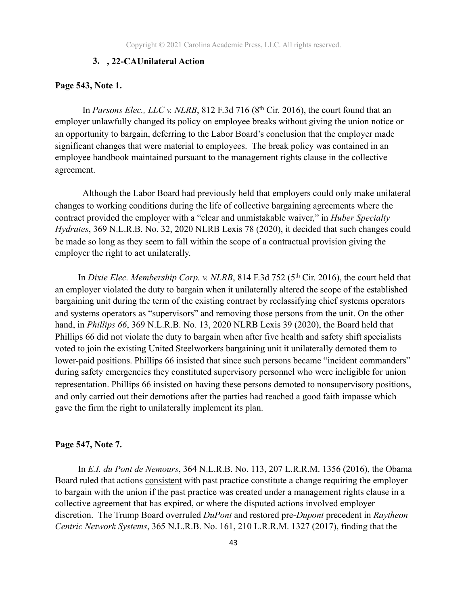#### **3. , 22-CAUnilateral Action**

#### **Page 543, Note 1.**

In *Parsons Elec., LLC v. NLRB*, 812 F.3d 716 (8<sup>th</sup> Cir. 2016), the court found that an employer unlawfully changed its policy on employee breaks without giving the union notice or an opportunity to bargain, deferring to the Labor Board's conclusion that the employer made significant changes that were material to employees. The break policy was contained in an employee handbook maintained pursuant to the management rights clause in the collective agreement.

 Although the Labor Board had previously held that employers could only make unilateral changes to working conditions during the life of collective bargaining agreements where the contract provided the employer with a "clear and unmistakable waiver," in *Huber Specialty Hydrates*, 369 N.L.R.B. No. 32, 2020 NLRB Lexis 78 (2020), it decided that such changes could be made so long as they seem to fall within the scope of a contractual provision giving the employer the right to act unilaterally.

In *Dixie Elec. Membership Corp. v. NLRB*, 814 F.3d 752 (5<sup>th</sup> Cir. 2016), the court held that an employer violated the duty to bargain when it unilaterally altered the scope of the established bargaining unit during the term of the existing contract by reclassifying chief systems operators and systems operators as "supervisors" and removing those persons from the unit. On the other hand, in *Phillips 66*, 369 N.L.R.B. No. 13, 2020 NLRB Lexis 39 (2020), the Board held that Phillips 66 did not violate the duty to bargain when after five health and safety shift specialists voted to join the existing United Steelworkers bargaining unit it unilaterally demoted them to lower-paid positions. Phillips 66 insisted that since such persons became "incident commanders" during safety emergencies they constituted supervisory personnel who were ineligible for union representation. Phillips 66 insisted on having these persons demoted to nonsupervisory positions, and only carried out their demotions after the parties had reached a good faith impasse which gave the firm the right to unilaterally implement its plan.

#### **Page 547, Note 7.**

 In *E.I. du Pont de Nemours*, 364 N.L.R.B. No. 113, 207 L.R.R.M. 1356 (2016), the Obama Board ruled that actions consistent with past practice constitute a change requiring the employer to bargain with the union if the past practice was created under a management rights clause in a collective agreement that has expired, or where the disputed actions involved employer discretion. The Trump Board overruled *DuPont* and restored pre-*Dupont* precedent in *Raytheon Centric Network Systems*, 365 N.L.R.B. No. 161, 210 L.R.R.M. 1327 (2017), finding that the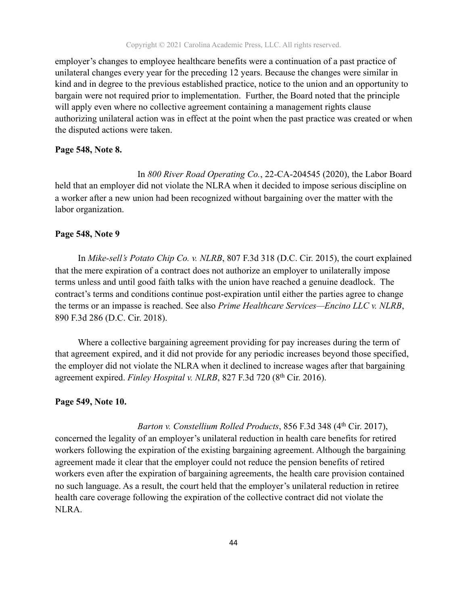employer's changes to employee healthcare benefits were a continuation of a past practice of unilateral changes every year for the preceding 12 years. Because the changes were similar in kind and in degree to the previous established practice, notice to the union and an opportunity to bargain were not required prior to implementation. Further, the Board noted that the principle will apply even where no collective agreement containing a management rights clause authorizing unilateral action was in effect at the point when the past practice was created or when the disputed actions were taken.

#### **Page 548, Note 8.**

 In *800 River Road Operating Co.*, 22-CA-204545 (2020), the Labor Board held that an employer did not violate the NLRA when it decided to impose serious discipline on a worker after a new union had been recognized without bargaining over the matter with the labor organization.

#### **Page 548, Note 9**

 In *Mike-sell's Potato Chip Co. v. NLRB*, 807 F.3d 318 (D.C. Cir. 2015), the court explained that the mere expiration of a contract does not authorize an employer to unilaterally impose terms unless and until good faith talks with the union have reached a genuine deadlock. The contract's terms and conditions continue post-expiration until either the parties agree to change the terms or an impasse is reached. See also *Prime Healthcare Services—Encino LLC v. NLRB*, 890 F.3d 286 (D.C. Cir. 2018).

 Where a collective bargaining agreement providing for pay increases during the term of that agreement expired, and it did not provide for any periodic increases beyond those specified, the employer did not violate the NLRA when it declined to increase wages after that bargaining agreement expired. *Finley Hospital v. NLRB*, 827 F.3d 720 (8<sup>th</sup> Cir. 2016).

#### **Page 549, Note 10.**

#### *Barton v. Constellium Rolled Products, 856 F.3d 348 (4th Cir. 2017),*

concerned the legality of an employer's unilateral reduction in health care benefits for retired workers following the expiration of the existing bargaining agreement. Although the bargaining agreement made it clear that the employer could not reduce the pension benefits of retired workers even after the expiration of bargaining agreements, the health care provision contained no such language. As a result, the court held that the employer's unilateral reduction in retiree health care coverage following the expiration of the collective contract did not violate the NLRA.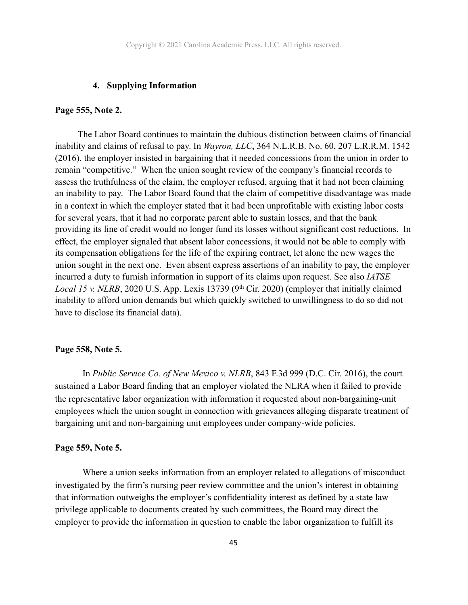#### **4. Supplying Information**

#### **Page 555, Note 2.**

 The Labor Board continues to maintain the dubious distinction between claims of financial inability and claims of refusal to pay. In *Wayron, LLC*, 364 N.L.R.B. No. 60, 207 L.R.R.M. 1542 (2016), the employer insisted in bargaining that it needed concessions from the union in order to remain "competitive." When the union sought review of the company's financial records to assess the truthfulness of the claim, the employer refused, arguing that it had not been claiming an inability to pay. The Labor Board found that the claim of competitive disadvantage was made in a context in which the employer stated that it had been unprofitable with existing labor costs for several years, that it had no corporate parent able to sustain losses, and that the bank providing its line of credit would no longer fund its losses without significant cost reductions. In effect, the employer signaled that absent labor concessions, it would not be able to comply with its compensation obligations for the life of the expiring contract, let alone the new wages the union sought in the next one. Even absent express assertions of an inability to pay, the employer incurred a duty to furnish information in support of its claims upon request. See also *IATSE Local 15 v. NLRB*, 2020 U.S. App. Lexis 13739 (9<sup>th</sup> Cir. 2020) (employer that initially claimed inability to afford union demands but which quickly switched to unwillingness to do so did not have to disclose its financial data).

#### **Page 558, Note 5.**

 In *Public Service Co. of New Mexico v. NLRB*, 843 F.3d 999 (D.C. Cir. 2016), the court sustained a Labor Board finding that an employer violated the NLRA when it failed to provide the representative labor organization with information it requested about non-bargaining-unit employees which the union sought in connection with grievances alleging disparate treatment of bargaining unit and non-bargaining unit employees under company-wide policies.

#### **Page 559, Note 5.**

 Where a union seeks information from an employer related to allegations of misconduct investigated by the firm's nursing peer review committee and the union's interest in obtaining that information outweighs the employer's confidentiality interest as defined by a state law privilege applicable to documents created by such committees, the Board may direct the employer to provide the information in question to enable the labor organization to fulfill its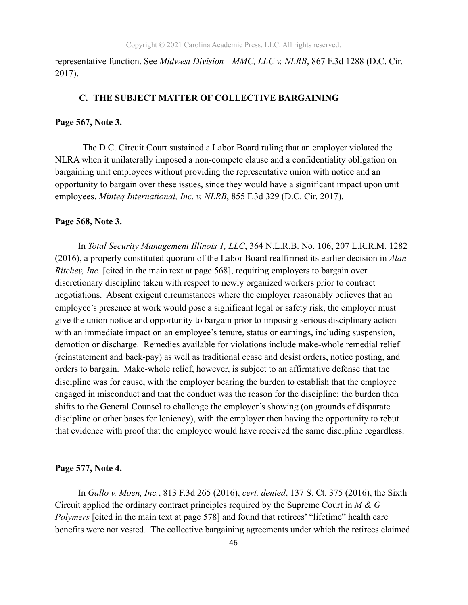representative function. See *Midwest Division—MMC, LLC v. NLRB*, 867 F.3d 1288 (D.C. Cir. 2017).

#### **C. THE SUBJECT MATTER OF COLLECTIVE BARGAINING**

#### **Page 567, Note 3.**

The D.C. Circuit Court sustained a Labor Board ruling that an employer violated the NLRA when it unilaterally imposed a non-compete clause and a confidentiality obligation on bargaining unit employees without providing the representative union with notice and an opportunity to bargain over these issues, since they would have a significant impact upon unit employees. *Minteq International, Inc. v. NLRB*, 855 F.3d 329 (D.C. Cir. 2017).

#### **Page 568, Note 3.**

 In *Total Security Management Illinois 1, LLC*, 364 N.L.R.B. No. 106, 207 L.R.R.M. 1282 (2016), a properly constituted quorum of the Labor Board reaffirmed its earlier decision in *Alan Ritchey, Inc.* [cited in the main text at page 568], requiring employers to bargain over discretionary discipline taken with respect to newly organized workers prior to contract negotiations. Absent exigent circumstances where the employer reasonably believes that an employee's presence at work would pose a significant legal or safety risk, the employer must give the union notice and opportunity to bargain prior to imposing serious disciplinary action with an immediate impact on an employee's tenure, status or earnings, including suspension, demotion or discharge. Remedies available for violations include make-whole remedial relief (reinstatement and back-pay) as well as traditional cease and desist orders, notice posting, and orders to bargain. Make-whole relief, however, is subject to an affirmative defense that the discipline was for cause, with the employer bearing the burden to establish that the employee engaged in misconduct and that the conduct was the reason for the discipline; the burden then shifts to the General Counsel to challenge the employer's showing (on grounds of disparate discipline or other bases for leniency), with the employer then having the opportunity to rebut that evidence with proof that the employee would have received the same discipline regardless.

#### **Page 577, Note 4.**

 In *Gallo v. Moen, Inc.*, 813 F.3d 265 (2016), *cert. denied*, 137 S. Ct. 375 (2016), the Sixth Circuit applied the ordinary contract principles required by the Supreme Court in *M & G Polymers* [cited in the main text at page 578] and found that retirees' "lifetime" health care benefits were not vested. The collective bargaining agreements under which the retirees claimed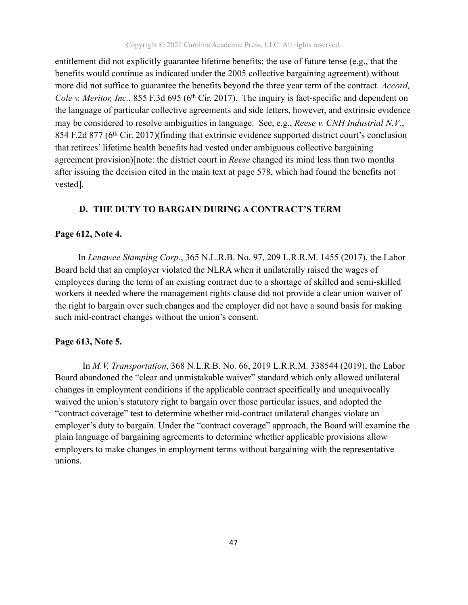Copyright © 2021 Carolina Academic Press, LLC. All rights reserved.

entitlement did not explicitly guarantee lifetime benefits; the use of future tense (e.g., that the benefits would continue as indicated under the 2005 collective bargaining agreement) without more did not suffice to guarantee the benefits beyond the three year term of the contract. *Accord, Cole v. Meritor, Inc.*, 855 F.3d 695 (6<sup>th</sup> Cir. 2017). The inquiry is fact-specific and dependent on the language of particular collective agreements and side letters, however, and extrinsic evidence may be considered to resolve ambiguities in language. See, e.g., *Reese v. CNH Industrial N.V*., 854 F.2d 877 (6th Cir. 2017)(finding that extrinsic evidence supported district court's conclusion that retirees' lifetime health benefits had vested under ambiguous collective bargaining agreement provision)[note: the district court in *Reese* changed its mind less than two months after issuing the decision cited in the main text at page 578, which had found the benefits not vested].

#### **D. THE DUTY TO BARGAIN DURING A CONTRACT'S TERM**

#### **Page 612, Note 4.**

 In *Lenawee Stamping Corp.*, 365 N.L.R.B. No. 97, 209 L.R.R.M. 1455 (2017), the Labor Board held that an employer violated the NLRA when it unilaterally raised the wages of employees during the term of an existing contract due to a shortage of skilled and semi-skilled workers it needed where the management rights clause did not provide a clear union waiver of the right to bargain over such changes and the employer did not have a sound basis for making such mid-contract changes without the union's consent.

#### **Page 613, Note 5.**

 In *M.V. Transportation*, 368 N.L.R.B. No. 66, 2019 L.R.R.M. 338544 (2019), the Labor Board abandoned the "clear and unmistakable waiver" standard which only allowed unilateral changes in employment conditions if the applicable contract specifically and unequivocally waived the union's statutory right to bargain over those particular issues, and adopted the "contract coverage" test to determine whether mid-contract unilateral changes violate an employer's duty to bargain. Under the "contract coverage" approach, the Board will examine the plain language of bargaining agreements to determine whether applicable provisions allow employers to make changes in employment terms without bargaining with the representative unions.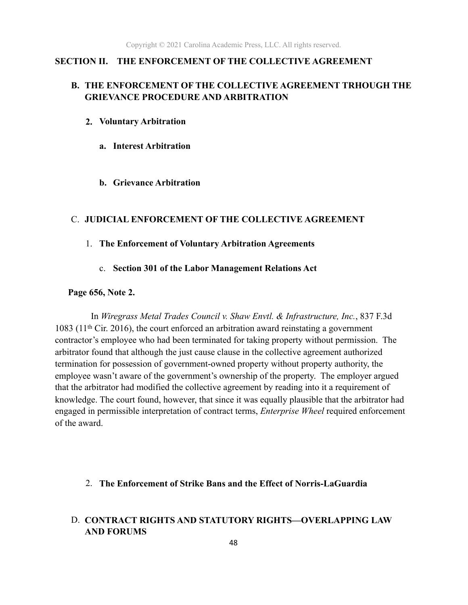#### **SECTION II. THE ENFORCEMENT OF THE COLLECTIVE AGREEMENT**

### **B. THE ENFORCEMENT OF THE COLLECTIVE AGREEMENT TRHOUGH THE GRIEVANCE PROCEDURE AND ARBITRATION**

- **2. Voluntary Arbitration** 
	- **a. Interest Arbitration**
	- **b. Grievance Arbitration**

#### C. **JUDICIAL ENFORCEMENT OF THE COLLECTIVE AGREEMENT**

#### 1. **The Enforcement of Voluntary Arbitration Agreements**

c. **Section 301 of the Labor Management Relations Act** 

#### **Page 656, Note 2.**

 In *Wiregrass Metal Trades Council v. Shaw Envtl. & Infrastructure, Inc.*, 837 F.3d 1083 ( $11<sup>th</sup>$  Cir. 2016), the court enforced an arbitration award reinstating a government contractor's employee who had been terminated for taking property without permission. The arbitrator found that although the just cause clause in the collective agreement authorized termination for possession of government-owned property without property authority, the employee wasn't aware of the government's ownership of the property. The employer argued that the arbitrator had modified the collective agreement by reading into it a requirement of knowledge. The court found, however, that since it was equally plausible that the arbitrator had engaged in permissible interpretation of contract terms, *Enterprise Wheel* required enforcement of the award.

#### 2. **The Enforcement of Strike Bans and the Effect of Norris-LaGuardia**

## D. **CONTRACT RIGHTS AND STATUTORY RIGHTS—OVERLAPPING LAW AND FORUMS**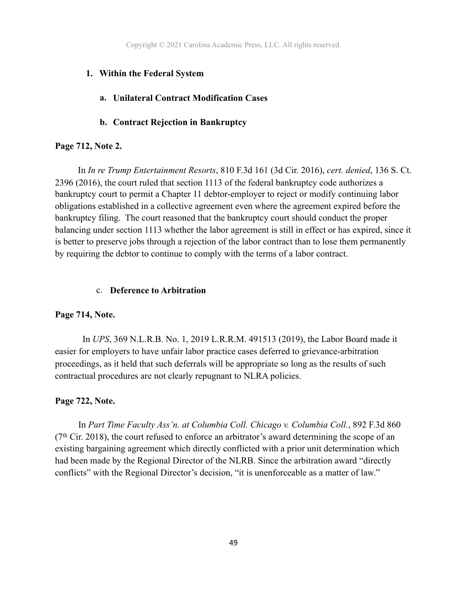Copyright © 2021 Carolina Academic Press, LLC. All rights reserved.

#### **1. Within the Federal System**

## **a. Unilateral Contract Modification Cases**

#### **b. Contract Rejection in Bankruptcy**

#### **Page 712, Note 2.**

 In *In re Trump Entertainment Resorts*, 810 F.3d 161 (3d Cir. 2016), *cert. denied*, 136 S. Ct. 2396 (2016), the court ruled that section 1113 of the federal bankruptcy code authorizes a bankruptcy court to permit a Chapter 11 debtor-employer to reject or modify continuing labor obligations established in a collective agreement even where the agreement expired before the bankruptcy filing. The court reasoned that the bankruptcy court should conduct the proper balancing under section 1113 whether the labor agreement is still in effect or has expired, since it is better to preserve jobs through a rejection of the labor contract than to lose them permanently by requiring the debtor to continue to comply with the terms of a labor contract.

#### c. **Deference to Arbitration**

#### **Page 714, Note.**

 In *UPS*, 369 N.L.R.B. No. 1, 2019 L.R.R.M. 491513 (2019), the Labor Board made it easier for employers to have unfair labor practice cases deferred to grievance-arbitration proceedings, as it held that such deferrals will be appropriate so long as the results of such contractual procedures are not clearly repugnant to NLRA policies.

#### **Page 722, Note.**

 In *Part Time Faculty Ass'n. at Columbia Coll. Chicago v. Columbia Coll.*, 892 F.3d 860  $(7<sup>th</sup> Cir. 2018)$ , the court refused to enforce an arbitrator's award determining the scope of an existing bargaining agreement which directly conflicted with a prior unit determination which had been made by the Regional Director of the NLRB. Since the arbitration award "directly conflicts" with the Regional Director's decision, "it is unenforceable as a matter of law."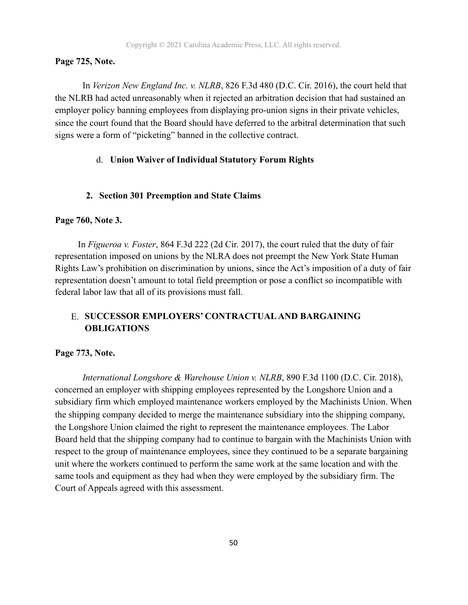#### **Page 725, Note.**

 In *Verizon New England Inc. v. NLRB*, 826 F.3d 480 (D.C. Cir. 2016), the court held that the NLRB had acted unreasonably when it rejected an arbitration decision that had sustained an employer policy banning employees from displaying pro-union signs in their private vehicles, since the court found that the Board should have deferred to the arbitral determination that such signs were a form of "picketing" banned in the collective contract.

#### d. **Union Waiver of Individual Statutory Forum Rights**

#### **2. Section 301 Preemption and State Claims**

#### **Page 760, Note 3.**

 In *Figueroa v. Foster*, 864 F.3d 222 (2d Cir. 2017), the court ruled that the duty of fair representation imposed on unions by the NLRA does not preempt the New York State Human Rights Law's prohibition on discrimination by unions, since the Act's imposition of a duty of fair representation doesn't amount to total field preemption or pose a conflict so incompatible with federal labor law that all of its provisions must fall.

## E. **SUCCESSOR EMPLOYERS' CONTRACTUAL AND BARGAINING OBLIGATIONS**

#### **Page 773, Note.**

 *International Longshore & Warehouse Union v. NLRB*, 890 F.3d 1100 (D.C. Cir. 2018), concerned an employer with shipping employees represented by the Longshore Union and a subsidiary firm which employed maintenance workers employed by the Machinists Union. When the shipping company decided to merge the maintenance subsidiary into the shipping company, the Longshore Union claimed the right to represent the maintenance employees. The Labor Board held that the shipping company had to continue to bargain with the Machinists Union with respect to the group of maintenance employees, since they continued to be a separate bargaining unit where the workers continued to perform the same work at the same location and with the same tools and equipment as they had when they were employed by the subsidiary firm. The Court of Appeals agreed with this assessment.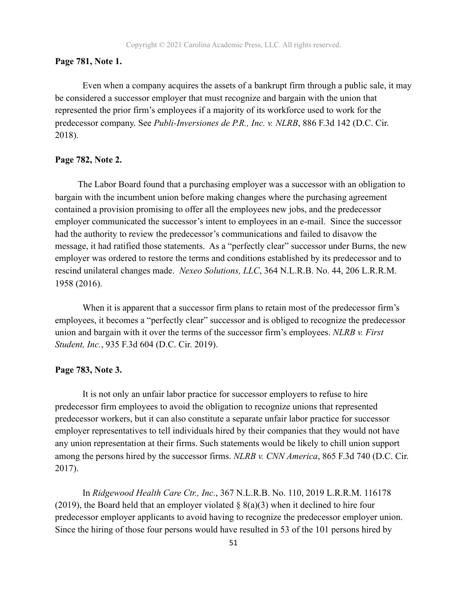#### **Page 781, Note 1.**

Even when a company acquires the assets of a bankrupt firm through a public sale, it may be considered a successor employer that must recognize and bargain with the union that represented the prior firm's employees if a majority of its workforce used to work for the predecessor company. See *Publi-Inversiones de P.R., Inc. v. NLRB*, 886 F.3d 142 (D.C. Cir. 2018).

#### **Page 782, Note 2.**

 The Labor Board found that a purchasing employer was a successor with an obligation to bargain with the incumbent union before making changes where the purchasing agreement contained a provision promising to offer all the employees new jobs, and the predecessor employer communicated the successor's intent to employees in an e-mail. Since the successor had the authority to review the predecessor's communications and failed to disavow the message, it had ratified those statements. As a "perfectly clear" successor under Burns, the new employer was ordered to restore the terms and conditions established by its predecessor and to rescind unilateral changes made. *Nexeo Solutions, LLC*, 364 N.L.R.B. No. 44, 206 L.R.R.M. 1958 (2016).

When it is apparent that a successor firm plans to retain most of the predecessor firm's employees, it becomes a "perfectly clear" successor and is obliged to recognize the predecessor union and bargain with it over the terms of the successor firm's employees. *NLRB v. First Student, Inc.*, 935 F.3d 604 (D.C. Cir. 2019).

#### **Page 783, Note 3.**

 It is not only an unfair labor practice for successor employers to refuse to hire predecessor firm employees to avoid the obligation to recognize unions that represented predecessor workers, but it can also constitute a separate unfair labor practice for successor employer representatives to tell individuals hired by their companies that they would not have any union representation at their firms. Such statements would be likely to chill union support among the persons hired by the successor firms. *NLRB v. CNN America*, 865 F.3d 740 (D.C. Cir. 2017).

 In *Ridgewood Health Care Ctr., Inc.*, 367 N.L.R.B. No. 110, 2019 L.R.R.M. 116178 (2019), the Board held that an employer violated  $\S$  8(a)(3) when it declined to hire four predecessor employer applicants to avoid having to recognize the predecessor employer union. Since the hiring of those four persons would have resulted in 53 of the 101 persons hired by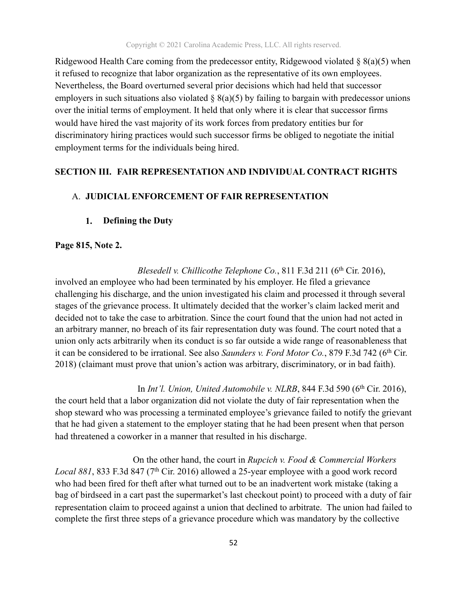Ridgewood Health Care coming from the predecessor entity, Ridgewood violated  $\S$  8(a)(5) when it refused to recognize that labor organization as the representative of its own employees. Nevertheless, the Board overturned several prior decisions which had held that successor employers in such situations also violated  $\S$  8(a)(5) by failing to bargain with predecessor unions over the initial terms of employment. It held that only where it is clear that successor firms would have hired the vast majority of its work forces from predatory entities bur for discriminatory hiring practices would such successor firms be obliged to negotiate the initial employment terms for the individuals being hired.

#### **SECTION III. FAIR REPRESENTATION AND INDIVIDUAL CONTRACT RIGHTS**

#### A. **JUDICIAL ENFORCEMENT OF FAIR REPRESENTATION**

#### **1. Defining the Duty**

#### **Page 815, Note 2.**

*Blesedell v. Chillicothe Telephone Co.*, 811 F.3d 211 (6<sup>th</sup> Cir. 2016),

involved an employee who had been terminated by his employer. He filed a grievance challenging his discharge, and the union investigated his claim and processed it through several stages of the grievance process. It ultimately decided that the worker's claim lacked merit and decided not to take the case to arbitration. Since the court found that the union had not acted in an arbitrary manner, no breach of its fair representation duty was found. The court noted that a union only acts arbitrarily when its conduct is so far outside a wide range of reasonableness that it can be considered to be irrational. See also *Saunders v. Ford Motor Co.*, 879 F.3d 742 (6<sup>th</sup> Cir. 2018) (claimant must prove that union's action was arbitrary, discriminatory, or in bad faith).

In *Int'l. Union, United Automobile v. NLRB*, 844 F.3d 590 (6<sup>th</sup> Cir. 2016), the court held that a labor organization did not violate the duty of fair representation when the shop steward who was processing a terminated employee's grievance failed to notify the grievant that he had given a statement to the employer stating that he had been present when that person had threatened a coworker in a manner that resulted in his discharge.

 On the other hand, the court in *Rupcich v. Food & Commercial Workers Local 881*, 833 F.3d 847 (7th Cir. 2016) allowed a 25-year employee with a good work record who had been fired for theft after what turned out to be an inadvertent work mistake (taking a bag of birdseed in a cart past the supermarket's last checkout point) to proceed with a duty of fair representation claim to proceed against a union that declined to arbitrate. The union had failed to complete the first three steps of a grievance procedure which was mandatory by the collective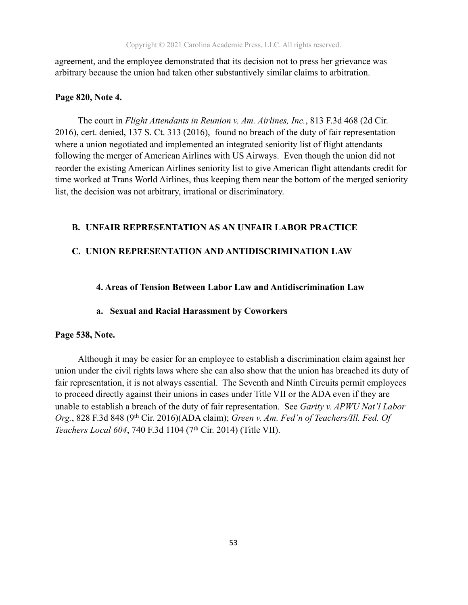agreement, and the employee demonstrated that its decision not to press her grievance was arbitrary because the union had taken other substantively similar claims to arbitration.

#### **Page 820, Note 4.**

The court in *Flight Attendants in Reunion v. Am. Airlines, Inc.*, 813 F.3d 468 (2d Cir. 2016), cert. denied, 137 S. Ct. 313 (2016), found no breach of the duty of fair representation where a union negotiated and implemented an integrated seniority list of flight attendants following the merger of American Airlines with US Airways. Even though the union did not reorder the existing American Airlines seniority list to give American flight attendants credit for time worked at Trans World Airlines, thus keeping them near the bottom of the merged seniority list, the decision was not arbitrary, irrational or discriminatory.

#### **B. UNFAIR REPRESENTATION AS AN UNFAIR LABOR PRACTICE**

#### **C. UNION REPRESENTATION AND ANTIDISCRIMINATION LAW**

#### **4. Areas of Tension Between Labor Law and Antidiscrimination Law**

#### **a. Sexual and Racial Harassment by Coworkers**

#### **Page 538, Note.**

Although it may be easier for an employee to establish a discrimination claim against her union under the civil rights laws where she can also show that the union has breached its duty of fair representation, it is not always essential. The Seventh and Ninth Circuits permit employees to proceed directly against their unions in cases under Title VII or the ADA even if they are unable to establish a breach of the duty of fair representation. See *Garity v. APWU Nat'l Labor Org.*, 828 F.3d 848 (9th Cir. 2016)(ADA claim); *Green v. Am. Fed'n of Teachers/Ill. Fed. Of Teachers Local 604*, 740 F.3d 1104 (7th Cir. 2014) (Title VII).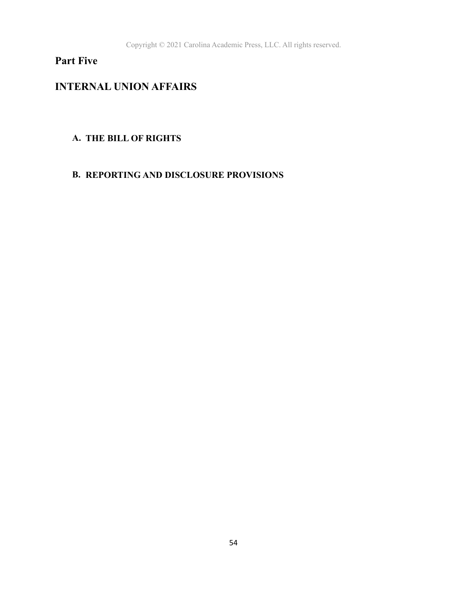## **Part Five**

## **INTERNAL UNION AFFAIRS**

## **A. THE BILL OF RIGHTS**

## **B. REPORTING AND DISCLOSURE PROVISIONS**